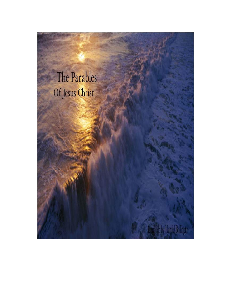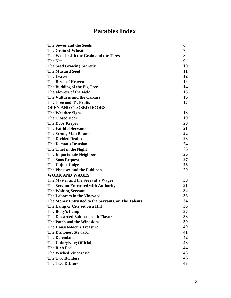# **Parables Index**

| The Sower and the Seeds                             | 6  |
|-----------------------------------------------------|----|
| <b>The Grain of Wheat</b>                           | 7  |
| The Weeds with the Grain and the Tares              | 8  |
| <b>The Net</b>                                      | 9  |
| <b>The Seed Growing Secretly</b>                    | 10 |
| <b>The Mustard Seed</b>                             | 11 |
| <b>The Leaven</b>                                   | 12 |
| <b>The Birds of Heaven</b>                          | 13 |
| The Budding of the Fig Tree                         | 14 |
| The Flowers of the Field                            | 15 |
| The Vultures and the Carcass                        | 16 |
| The Tree and it's Fruits                            | 17 |
| <b>OPEN AND CLOSED DOORS</b>                        |    |
| <b>The Weather Signs</b>                            | 18 |
| <b>The Closed Door</b>                              | 19 |
| <b>The Door Keeper</b>                              | 20 |
| <b>The Faithful Servants</b>                        | 21 |
| <b>The Strong Man Bound</b>                         | 22 |
| <b>The Divided Realm</b>                            | 23 |
| <b>The Demon's Invasion</b>                         | 24 |
| The Thief in the Night                              | 25 |
| <b>The Importunate Neighbor</b>                     | 26 |
| <b>The Sons Request</b>                             | 27 |
| <b>The Unjust Judge</b>                             | 28 |
| The Pharisee and the Publican                       | 29 |
| <b>WORK AND WAGES</b>                               |    |
| The Master and the Servant's Wages                  | 30 |
| The Servant Entrusted with Authority                | 31 |
| <b>The Waiting Servant</b>                          | 32 |
| The Laborers in the Vineyard                        | 33 |
| The Money Entrusted to the Servants, or The Talents | 34 |
| The Lamp or City set on a Hill                      | 36 |
| The Body's Lamp                                     | 37 |
| The Discarded Salt has lost it Flavor               | 38 |
| The Patch and the Wineskins                         | 39 |
| The Householder's Treasure                          | 40 |
| <b>The Dishonest Steward</b>                        | 41 |
| <b>The Defendant</b>                                | 42 |
| <b>The Unforgiving Official</b>                     | 43 |
| <b>The Rich Fool</b>                                | 44 |
| <b>The Wicked Vinedresser</b>                       | 45 |
| <b>The Two Builders</b>                             | 46 |
| <b>The Two Debtors</b>                              | 47 |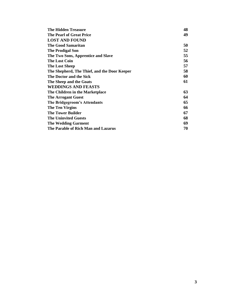| The Hidden Treasure                          | 48 |
|----------------------------------------------|----|
| The Pearl of Great Price                     | 49 |
| <b>LOST AND FOUND</b>                        |    |
| <b>The Good Samaritan</b>                    | 50 |
| <b>The Prodigal Son</b>                      | 52 |
| The Two Sons, Apprentice and Slave           | 55 |
| <b>The Lost Coin</b>                         | 56 |
| The Lost Sheep                               | 57 |
| The Shepherd, The Thief, and the Door Keeper | 58 |
| <b>The Doctor and the Sick</b>               | 60 |
| The Sheep and the Goats                      | 61 |
| <b>WEDDINGS AND FEASTS</b>                   |    |
| The Children in the Marketplace              | 63 |
| The Arrogant Guest                           | 64 |
| The Bridgegroom's Attendants                 | 65 |
| The Ten Virgins                              | 66 |
| <b>The Tower Builder</b>                     | 67 |
| <b>The Uninvited Guests</b>                  | 68 |
| <b>The Wedding Garment</b>                   | 69 |
| The Parable of Rich Man and Lazarus          | 70 |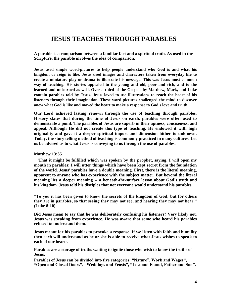## **JESUS TEACHES THROUGH PARABLES**

**A parable is a comparison between a familiar fact and a spiritual truth. As used in the Scripture, the parable involves the idea of comparison.**

**Jesus used simple word-pictures to help people understand who God is and what his kingdom or reign is like. Jesus used images and characters taken from everyday life to create a miniature play or drama to illustrate his message. This was Jesus most common way of teaching. His stories appealed to the young and old, poor and rich, and to the learned and unlearned as well. Over a third of the Gospels by Matthew, Mark, and Luke contain parables told by Jesus. Jesus loved to use illustrations to reach the heart of his listeners through their imagination. These word-pictures challenged the mind to discover anew what God is like and moved the heart to make a response to God's love and truth**

**Our Lord achieved lasting renown through the use of teaching through parables. History states that during the time of Jesus on earth, parables were often used to demonstrate a point. The parables of Jesus are superb in their aptness, conciseness, and appeal. Although He did not create this type of teaching, He endowed it with high originality and gave it a deeper spiritual import and dimension hither to unknown. Today, the story telling method of teaching is commonly practiced in many cultures. Let us be advised as to what Jesus is conveying to us through the use of parables.**

#### **Matthew 13:35**

**That it might be fulfilled which was spoken by the prophet, saying, I will open my mouth in parables; I will utter things which have been kept secret from the foundation of the world. Jesus' parables have a double meaning. First, there is the literal meaning, apparent to anyone who has experience with the subject matter. But beyond the literal meaning lies a deeper meaning -- a beneath-the-surface lesson about God's truth and his kingdom. Jesus told his disciples that not everyone would understand his parables.**

**"To you it has been given to know the secrets of the kingdom of God; but for others they are in parables, so that seeing they may not see, and hearing they may not hear." (Luke 8:10).**

**Did Jesus mean to say that he was deliberately confusing his listeners? Very likely not. Jesus was speaking from experience. He was aware that some who heard his parables refused to understand them.**

**Jesus meant for his parables to provoke a response. If we listen with faith and humility then each will understand as he or she is able to receive what Jesus wishes to speak to each of our hearts.**

**Parables are a storage of truths waiting to ignite those who wish to know the truths of Jesus.**

**Parables of Jesus can be divided into five categories: "Nature", Work and Wages", "Open and Closed Doors", "Weddings and Feasts", "Lost and Found, Father and Son".**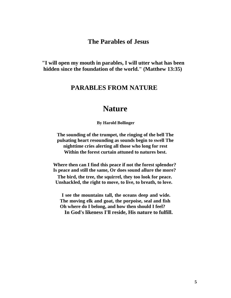## **The Parables of Jesus**

**"I will open my mouth in parables, I will utter what has been hidden since the foundation of the world." (Matthew 13:35)**

## **PARABLES FROM NATURE**

# **Nature**

**By Harold Bollinger**

**The sounding of the trumpet, the ringing of the bell The pulsating heart resounding as sounds begin to swell The nighttime cries alerting all those who long for rest Within the forest curtain attuned to natures best.**

**Where then can I find this peace if not the forest splendor? Is peace and still the same, Or does sound allure the more?**

**The bird, the tree, the squirrel, they too look for peace. Unshackled, the right to move, to live, to breath, to love.**

**I see the mountains tall, the oceans deep and wide. The moving elk and goat, the porpoise, seal and fish Oh where do I belong, and how then should I feel? In God's likeness I'll reside, His nature to fulfill.**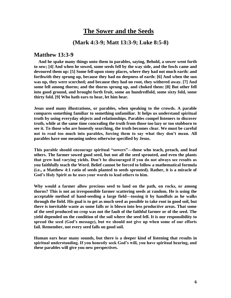## **The Sower and the Seeds**

### **(Mark 4:3-9; Matt 13:3-9; Luke 8:5-8)**

### **Matthew 13:3-9**

**And he spake many things unto them in parables, saying, Behold, a sower went forth to sow; [4] And when he sowed, some seeds fell by the way side, and the fowls came and devoured them up: [5] Some fell upon stony places, where they had not much earth: and forthwith they sprung up, because they had no deepness of earth: [6] And when the sun was up, they were scorched; and because they had no root, they withered away. [7] And some fell among thorns; and the thorns sprung up, and choked them: [8] But other fell into good ground, and brought forth fruit, some an hundredfold, some sixty fold, some thirty fold. [9] Who hath ears to hear, let him hear.**

**Jesus used many illustrations, or parables, when speaking to the crowds. A parable compares something familiar to something unfamiliar. It helps us understand spiritual truth by using everyday objects and relationships. Parables compel listeners to discover truth, while at the same time concealing the truth from those too lazy or too stubborn to see it. To those who are honestly searching, the truth becomes clear. We must be careful not to read too much into parables, forcing them to say what they don't mean. All parables have one meaning unless otherwise specified by Jesus.**

**This parable should encourage spiritual "sowers"—those who teach, preach, and lead others. The farmer sowed good seed, but not all the seed sprouted, and even the plants that grew had varying yields. Don't be discouraged if you do not always see results as you faithfully teach the Word. Belief cannot be forced to follow a mathematical formula (i.e., a Matthew 4:1 ratio of seeds planted to seeds sprouted). Rather, it is a miracle of God's Holy Spirit as he uses your words to lead others to him.**

**Why would a farmer allow precious seed to land on the path, on rocks, or among thorns? This is not an irresponsible farmer scattering seeds at random. He is using the acceptable method of hand-seeding a large field—tossing it by handfuls as he walks through the field. His goal is to get as much seed as possible to take root in good soil, but there is inevitable waste as some falls or is blown into less productive areas. That some of the seed produced no crop was not the fault of the faithful farmer or of the seed. The yield depended on the condition of the soil where the seed fell. It is our responsibility to spread the seed (God's message), but we should not give up when some of our efforts fail. Remember, not every seed falls on good soil.**

**Human ears hear many sounds, but there is a deeper kind of listening that results in spiritual understanding. If you honestly seek God's will, you have spiritual hearing, and these parables will give you new perspectives.**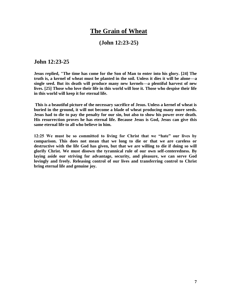## **The Grain of Wheat**

### **(John 12:23-25)**

### **John 12:23-25**

**Jesus replied, "The time has come for the Son of Man to enter into his glory. [24] The truth is, a kernel of wheat must be planted in the soil. Unless it dies it will be alone—a single seed. But its death will produce many new kernels—a plentiful harvest of new lives. [25] Those who love their life in this world will lose it. Those who despise their life in this world will keep it for eternal life.**

**This is a beautiful picture of the necessary sacrifice of Jesus. Unless a kernel of wheat is buried in the ground, it will not become a blade of wheat producing many more seeds. Jesus had to die to pay the penalty for our sin, but also to show his power over death. His resurrection proves he has eternal life. Because Jesus is God, Jesus can give this same eternal life to all who believe in him.**

**12:25 We must be so committed to living for Christ that we "hate" our lives by comparison. This does not mean that we long to die or that we are careless or destructive with the life God has given, but that we are willing to die if doing so will glorify Christ. We must disown the tyrannical rule of our own self-centeredness. By laying aside our striving for advantage, security, and pleasure, we can serve God lovingly and freely. Releasing control of our lives and transferring control to Christ bring eternal life and genuine joy.**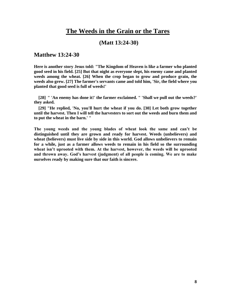## **The Weeds in the Grain or the Tares**

### **(Matt 13:24-30)**

#### **Matthew 13:24-30**

**Here is another story Jesus told: "The Kingdom of Heaven is like a farmer who planted good seed in his field. [25] But that night as everyone slept, his enemy came and planted weeds among the wheat. [26] When the crop began to grow and produce grain, the weeds also grew. [27] The farmer's servants came and told him, 'Sir, the field where you planted that good seed is full of weeds!'**

**[28] " 'An enemy has done it!' the farmer exclaimed. " 'Shall we pull out the weeds?' they asked.** 

**[29] "He replied, 'No, you'll hurt the wheat if you do. [30] Let both grow together until the harvest. Then I will tell the harvesters to sort out the weeds and burn them and to put the wheat in the barn.' "** 

**The young weeds and the young blades of wheat look the same and can't be distinguished until they are grown and ready for harvest. Weeds (unbelievers) and wheat (believers) must live side by side in this world. God allows unbelievers to remain for a while, just as a farmer allows weeds to remain in his field so the surrounding wheat isn't uprooted with them. At the harvest, however, the weeds will be uprooted and thrown away. God's harvest (judgment) of all people is coming. We are to make ourselves ready by making sure that our faith is sincere.**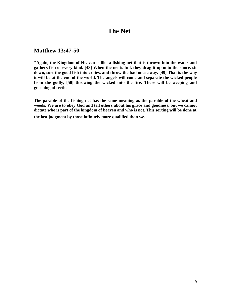## **The Net**

### **Matthew 13:47-50**

**"Again, the Kingdom of Heaven is like a fishing net that is thrown into the water and gathers fish of every kind. [48] When the net is full, they drag it up onto the shore, sit down, sort the good fish into crates, and throw the bad ones away. [49] That is the way it will be at the end of the world. The angels will come and separate the wicked people from the godly, [50] throwing the wicked into the fire. There will be weeping and gnashing of teeth.**

**The parable of the fishing net has the same meaning as the parable of the wheat and weeds. We are to obey God and tell others about his grace and goodness, but we cannot dictate who is part of the kingdom of heaven and who is not. This sorting will be done at the last judgment by those infinitely more qualified than we.**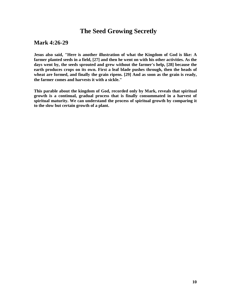## **The Seed Growing Secretly**

### **Mark 4:26-29**

**Jesus also said, "Here is another illustration of what the Kingdom of God is like: A farmer planted seeds in a field, [27] and then he went on with his other activities. As the days went by, the seeds sprouted and grew without the farmer's help, [28] because the earth produces crops on its own. First a leaf blade pushes through, then the heads of wheat are formed, and finally the grain ripens. [29] And as soon as the grain is ready, the farmer comes and harvests it with a sickle."**

**This parable about the kingdom of God, recorded only by Mark, reveals that spiritual growth is a continual, gradual process that is finally consummated in a harvest of spiritual maturity. We can understand the process of spiritual growth by comparing it to the slow but certain growth of a plant.**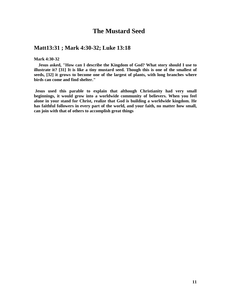## **The Mustard Seed**

### **Matt13:31 ; Mark 4:30-32; Luke 13:18**

#### **Mark 4:30-32**

**Jesus asked, "How can I describe the Kingdom of God? What story should I use to illustrate it? [31] It is like a tiny mustard seed. Though this is one of the smallest of seeds, [32] it grows to become one of the largest of plants, with long branches where birds can come and find shelter."**

**Jesus used this parable to explain that although Christianity had very small beginnings, it would grow into a worldwide community of believers. When you feel alone in your stand for Christ, realize that God is building a worldwide kingdom. He has faithful followers in every part of the world, and your faith, no matter how small, can join with that of others to accomplish great things**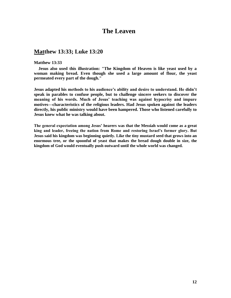## **The Leaven**

### **Matthew 13:33; Luke 13:20**

#### **Matthew 13:33**

**Jesus also used this illustration: "The Kingdom of Heaven is like yeast used by a woman making bread. Even though she used a large amount of flour, the yeast permeated every part of the dough."**

**Jesus adapted his methods to his audience's ability and desire to understand. He didn't speak in parables to confuse people, but to challenge sincere seekers to discover the meaning of his words. Much of Jesus' teaching was against hypocrisy and impure motives—characteristics of the religious leaders. Had Jesus spoken against the leaders directly, his public ministry would have been hampered. Those who listened carefully to Jesus knew what he was talking about.**

**The general expectation among Jesus' hearers was that the Messiah would come as a great king and leader, freeing the nation from Rome and restoring Israel's former glory. But Jesus said his kingdom was beginning quietly. Like the tiny mustard seed that grows into an enormous tree, or the spoonful of yeast that makes the bread dough double in size, the kingdom of God would eventually push outward until the whole world was changed.**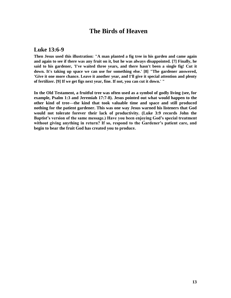## **The Birds of Heaven**

#### **Luke 13:6-9**

**Then Jesus used this illustration: "A man planted a fig tree in his garden and came again and again to see if there was any fruit on it, but he was always disappointed. [7] Finally, he said to his gardener, 'I've waited three years, and there hasn't been a single fig! Cut it down. It's taking up space we can use for something else.' [8] "The gardener answered, 'Give it one more chance. Leave it another year, and I'll give it special attention and plenty of fertilizer. [9] If we get figs next year, fine. If not, you can cut it down.' "**

**In the Old Testament, a fruitful tree was often used as a symbol of godly living (see, for example, Psalm 1:3 and Jeremiah 17:7-8). Jesus pointed out what would happen to the other kind of tree—the kind that took valuable time and space and still produced nothing for the patient gardener. This was one way Jesus warned his listeners that God would not tolerate forever their lack of productivity. (Luke 3:9 records John the Baptist's version of the same message.) Have you been enjoying God's special treatment without giving anything in return? If so, respond to the Gardener's patient care, and begin to bear the fruit God has created you to produce.**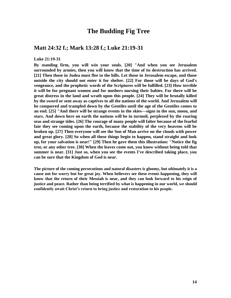## **The Budding Fig Tree**

#### **Matt 24:32 f.; Mark 13:28 f.; Luke 21:19-31**

#### **Luke 21:19-31**

**By standing firm, you will win your souls. [20] "And when you see Jerusalem surrounded by armies, then you will know that the time of its destruction has arrived. [21] Then those in Judea must flee to the hills. Let those in Jerusalem escape, and those outside the city should not enter it for shelter. [22] For those will be days of God's vengeance, and the prophetic words of the Scriptures will be fulfilled. [23] How terrible it will be for pregnant women and for mothers nursing their babies. For there will be great distress in the land and wrath upon this people. [24] They will be brutally killed by the sword or sent away as captives to all the nations of the world. And Jerusalem will be conquered and trampled down by the Gentiles until the age of the Gentiles comes to an end. [25] "And there will be strange events in the skies—signs in the sun, moon, and stars. And down here on earth the nations will be in turmoil, perplexed by the roaring seas and strange tides. [26] The courage of many people will falter because of the fearful fate they see coming upon the earth, because the stability of the very heavens will be broken up. [27] Then everyone will see the Son of Man arrive on the clouds with power and great glory. [28] So when all these things begin to happen, stand straight and look up, for your salvation is near!" [29] Then he gave them this illustration: "Notice the fig tree, or any other tree. [30] When the leaves come out, you know without being told that summer is near. [31] Just so, when you see the events I've described taking place, you can be sure that the Kingdom of God is near.**

**The picture of the coming persecutions and natural disasters is gloomy, but ultimately it is a cause not for worry but for great joy. When believers see these events happening, they will know that the return of their Messiah is near, and they can look forward to his reign of justice and peace. Rather than being terrified by what is happening in our world, we should confidently await Christ's return to bring justice and restoration to his people.**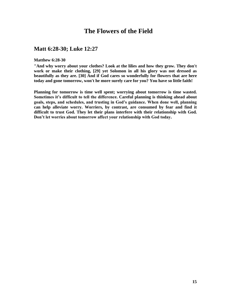## **The Flowers of the Field**

### **Matt 6:28-30; Luke 12:27**

#### **Matthew 6:28-30**

**"And why worry about your clothes? Look at the lilies and how they grow. They don't work or make their clothing, [29] yet Solomon in all his glory was not dressed as beautifully as they are. [30] And if God cares so wonderfully for flowers that are here today and gone tomorrow, won't he more surely care for you? You have so little faith!**

**Planning for tomorrow is time well spent; worrying about tomorrow is time wasted. Sometimes it's difficult to tell the difference. Careful planning is thinking ahead about goals, steps, and schedules, and trusting in God's guidance. When done well, planning can help alleviate worry. Worriers, by contrast, are consumed by fear and find it difficult to trust God. They let their plans interfere with their relationship with God. Don't let worries about tomorrow affect your relationship with God today.**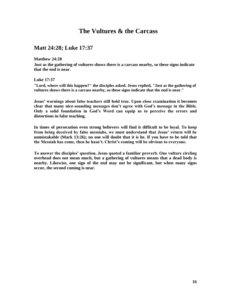## **The Vultures & the Carcass**

### **Matt 24:28; Luke 17:37**

**Matthew 24:28**

**Just as the gathering of vultures shows there is a carcass nearby, so these signs indicate that the end is near.**

**Luke 17:37**

**"Lord, where will this happen?" the disciples asked. Jesus replied, "Just as the gathering of vultures shows there is a carcass nearby, so these signs indicate that the end is near."**

**Jesus' warnings about false teachers still hold true. Upon close examination it becomes clear that many nice-sounding messages don't agree with God's message in the Bible. Only a solid foundation in God's Word can equip us to perceive the errors and distortions in false teaching.**

**In times of persecution even strong believers will find it difficult to be loyal. To keep from being deceived by false messiahs, we must understand that Jesus' return will be unmistakable (Mark 13:26); no one will doubt that it is he. If you have to be told that the Messiah has come, then he hasn't. Christ's coming will be obvious to everyone.**

**To answer the disciples' question, Jesus quoted a familiar proverb. One vulture circling overhead does not mean much, but a gathering of vultures means that a dead body is nearby. Likewise, one sign of the end may not be significant, but when many signs occur, the second coming is near.**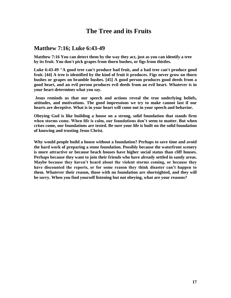# **The Tree and its Fruits**

### **Matthew 7:16; Luke 6:43-49**

**Matthew 7:16 You can detect them by the way they act, just as you can identify a tree by its fruit. You don't pick grapes from thorn bushes, or figs from thistles.**

**Luke 6:43-49 "A good tree can't produce bad fruit, and a bad tree can't produce good fruit. [44] A tree is identified by the kind of fruit it produces. Figs never grow on thorn bushes or grapes on bramble bushes. [45] A good person produces good deeds from a good heart, and an evil person produces evil deeds from an evil heart. Whatever is in your heart determines what you say.**

**Jesus reminds us that our speech and actions reveal the true underlying beliefs, attitudes, and motivations. The good impressions we try to make cannot last if our hearts are deceptive. What is in your heart will come out in your speech and behavior.**

**Obeying God is like building a house on a strong, solid foundation that stands firm when storms come. When life is calm, our foundations don't seem to matter. But when crises come, our foundations are tested. Be sure your life is built on the solid foundation of knowing and trusting Jesus Christ.**

**Why would people build a house without a foundation? Perhaps to save time and avoid the hard work of preparing a stone foundation. Possibly because the waterfront scenery is more attractive or because beach houses have higher social status than cliff houses. Perhaps because they want to join their friends who have already settled in sandy areas. Maybe because they haven't heard about the violent storms coming, or because they have discounted the reports, or for some reason they think disaster can't happen to them. Whatever their reason, those with no foundation are shortsighted, and they will be sorry. When you find yourself listening but not obeying, what are your reasons?**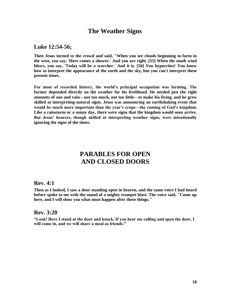## **The Weather Signs**

### **Luke 12:54-56;**

**Then Jesus turned to the crowd and said, "When you see clouds beginning to form in the west, you say, 'Here comes a shower.' And you are right. [55] When the south wind blows, you say, 'Today will be a scorcher.' And it is. [56] You hypocrites! You know how to interpret the appearance of the earth and the sky, but you can't interpret these present times.**

**For most of recorded history, the world's principal occupation was farming. The farmer depended directly on the weather for his livelihood. He needed just the right amounts of sun and rain—not too much, not too little—to make his living, and he grew skilled at interpreting natural signs. Jesus was announcing an earthshaking event that would be much more important than the year's crops—the coming of God's kingdom. Like a rainstorm or a sunny day, there were signs that the kingdom would soon arrive. But Jesus' hearers, though skilled at interpreting weather signs, were intentionally ignoring the signs of the times.**

# **PARABLES FOR OPEN AND CLOSED DOORS**

#### **Rev. 4:1**

**Then as I looked, I saw a door standing open in heaven, and the same voice I had heard before spoke to me with the sound of a mighty trumpet blast. The voice said, "Come up here, and I will show you what must happen after these things."**

### **Rev. 3:20**

**"Look! Here I stand at the door and knock. If you hear me calling and open the door, I will come in, and we will share a meal as friends."**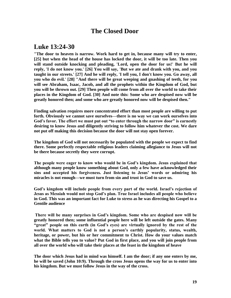## **The Closed Door**

## **Luke 13:24-30**

**"The door to heaven is narrow. Work hard to get in, because many will try to enter, [25] but when the head of the house has locked the door, it will be too late. Then you will stand outside knocking and pleading, 'Lord, open the door for us!' But he will reply, 'I do not know you.' [26] You will say, 'But we ate and drank with you, and you taught in our streets.' [27] And he will reply, 'I tell you, I don't know you. Go away, all you who do evil.' [28] "And there will be great weeping and gnashing of teeth, for you will see Abraham, Isaac, Jacob, and all the prophets within the Kingdom of God, but you will be thrown out. [29] Then people will come from all over the world to take their places in the Kingdom of God. [30] And note this: Some who are despised now will be greatly honored then; and some who are greatly honored now will be despised then."**

**Finding salvation requires more concentrated effort than most people are willing to put forth. Obviously we cannot save ourselves—there is no way we can work ourselves into God's favor. The effort we must put out "to enter through the narrow door" is earnestly desiring to know Jesus and diligently striving to follow him whatever the cost. We dare not put off making this decision because the door will not stay open forever.**

**The kingdom of God will not necessarily be populated with the people we expect to find there. Some perfectly respectable religious leaders claiming allegiance to Jesus will not be there because secretly they were corrupt.**

**The people were eager to know who would be in God's kingdom. Jesus explained that although many people know something about God, only a few have acknowledged their sins and accepted his forgiveness. Just listening to Jesus' words or admiring his miracles is not enough—we must turn from sin and trust in God to save us.**

**God's kingdom will include people from every part of the world. Israel's rejection of Jesus as Messiah would not stop God's plan. True Israel includes all people who believe in God. This was an important fact for Luke to stress as he was directing his Gospel to a Gentile audience**

**There will be many surprises in God's kingdom. Some who are despised now will be greatly honored then; some influential people here will be left outside the gates. Many "great" people on this earth (in God's eyes) are virtually ignored by the rest of the world. What matters to God is not a person's earthly popularity, status, wealth, heritage, or power, but his or her commitment to Christ. How do your values match what the Bible tells you to value? Put God in first place, and you will join people from all over the world who will take their places at the feast in the kingdom of heave**

**The door which Jesus had in mind was himself. I am the door; if any one enters by me, he will be saved (John 10:9). Through the cross Jesus opens the way for us to enter into his kingdom. But we must follow Jesus in the way of the cross.**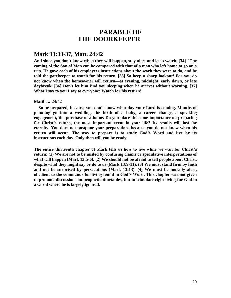## **PARABLE OF THE DOORKEEPER**

### **Mark 13:33-37, Matt. 24:42**

**And since you don't know when they will happen, stay alert and keep watch. [34] "The coming of the Son of Man can be compared with that of a man who left home to go on a trip. He gave each of his employees instructions about the work they were to do, and he told the gatekeeper to watch for his return. [35] So keep a sharp lookout! For you do not know when the homeowner will return—at evening, midnight, early dawn, or late daybreak. [36] Don't let him find you sleeping when he arrives without warning. [37] What I say to you I say to everyone: Watch for his return!"**

#### **Matthew 24:42**

**So be prepared, because you don't know what day your Lord is coming. Months of planning go into a wedding, the birth of a baby, a career change, a speaking engagement, the purchase of a home. Do you place the same importance on preparing for Christ's return, the most important event in your life? Its results will last for eternity. You dare not postpone your preparations because you do not know when his return will occur. The way to prepare is to study God's Word and live by its instructions each day. Only then will you be ready.**

**The entire thirteenth chapter of Mark tells us how to live while we wait for Christ's return: (1) We are not to be misled by confusing claims or speculative interpretations of what will happen (Mark 13:5-6). (2) We should not be afraid to tell people about Christ, despite what they might say or do to us (Mark 13:9-11). (3) We must stand firm by faith and not be surprised by persecutions (Mark 13:13). (4) We must be morally alert, obedient to the commands for living found in God's Word. This chapter was not given to promote discussions on prophetic timetables, but to stimulate right living for God in a world where he is largely ignored.**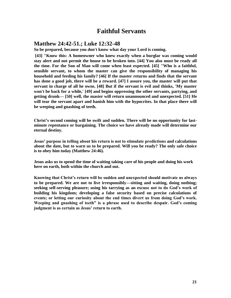## **Faithful Servants**

### **Matthew 24:42-51.; Luke 12:32-48**

**So be prepared, because you don't know what day your Lord is coming.**

**[43] "Know this: A homeowner who knew exactly when a burglar was coming would stay alert and not permit the house to be broken into. [44] You also must be ready all the time. For the Son of Man will come when least expected. [45] "Who is a faithful, sensible servant, to whom the master can give the responsibility of managing his household and feeding his family? [46] If the master returns and finds that the servant has done a good job, there will be a reward. [47] I assure you, the master will put that servant in charge of all he owns. [48] But if the servant is evil and thinks, 'My master won't be back for a while,' [49] and begins oppressing the other servants, partying, and getting drunk— [50] well, the master will return unannounced and unexpected. [51] He will tear the servant apart and banish him with the hypocrites. In that place there will be weeping and gnashing of teeth.**

**Christ's second coming will be swift and sudden. There will be no opportunity for lastminute repentance or bargaining. The choice we have already made will determine our eternal destiny.**

**Jesus' purpose in telling about his return is not to stimulate predictions and calculations about the date, but to warn us to be prepared. Will you be ready? The only safe choice is to obey him today (Matthew 24:46).**

**Jesus asks us to spend the time of waiting taking care of his people and doing his work here on earth, both within the church and out.**

**Knowing that Christ's return will be sudden and unexpected should motivate us always to be prepared. We are not to live irresponsibly—sitting and waiting, doing nothing; seeking self-serving pleasure; using his tarrying as an excuse not to do God's work of building his kingdom; developing a false security based on precise calculations of events; or letting our curiosity about the end times divert us from doing God's work. Weeping and gnashing of teeth" is a phrase used to describe despair. God's coming judgment is as certain as Jesus' return to earth.**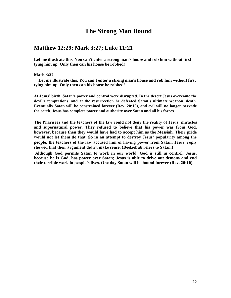## **The Strong Man Bound**

### **Matthew 12:29; Mark 3:27; Luke 11:21**

**Let me illustrate this. You can't enter a strong man's house and rob him without first tying him up. Only then can his house be robbed!**

**Mark 3:27**

**Let me illustrate this. You can't enter a strong man's house and rob him without first tying him up. Only then can his house be robbed!**

**At Jesus' birth, Satan's power and control were disrupted. In the desert Jesus overcame the devil's temptations, and at the resurrection he defeated Satan's ultimate weapon, death. Eventually Satan will be constrained forever (Rev. 20:10), and evil will no longer pervade the earth. Jesus has complete power and authority over Satan and all his forces.**

**The Pharisees and the teachers of the law could not deny the reality of Jesus' miracles and supernatural power. They refused to believe that his power was from God, however, because then they would have had to accept him as the Messiah. Their pride would not let them do that. So in an attempt to destroy Jesus' popularity among the people, the teachers of the law accused him of having power from Satan. Jesus' reply showed that their argument didn't make sense. (Beelzebub refers to Satan.)**

**Although God permits Satan to work in our world, God is still in control. Jesus, because he is God, has power over Satan; Jesus is able to drive out demons and end their terrible work in people's lives. One day Satan will be bound forever (Rev. 20:10).**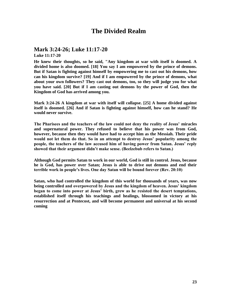# **The Divided Realm**

### **Mark 3:24-26; Luke 11:17-20**

**Luke 11:17-20**

**He knew their thoughts, so he said, "Any kingdom at war with itself is doomed. A divided home is also doomed. [18] You say I am empowered by the prince of demons. But if Satan is fighting against himself by empowering me to cast out his demons, how can his kingdom survive? [19] And if I am empowered by the prince of demons, what about your own followers? They cast out demons, too, so they will judge you for what you have said. [20] But if I am casting out demons by the power of God, then the Kingdom of God has arrived among you.**

**Mark 3:24-26 A kingdom at war with itself will collapse. [25] A home divided against itself is doomed. [26] And if Satan is fighting against himself, how can he stand? He would never survive.**

**The Pharisees and the teachers of the law could not deny the reality of Jesus' miracles and supernatural power. They refused to believe that his power was from God, however, because then they would have had to accept him as the Messiah. Their pride would not let them do that. So in an attempt to destroy Jesus' popularity among the people, the teachers of the law accused him of having power from Satan. Jesus' reply showed that their argument didn't make sense. (Beelzebub refers to Satan.)**

**Although God permits Satan to work in our world, God is still in control. Jesus, because he is God, has power over Satan; Jesus is able to drive out demons and end their terrible work in people's lives. One day Satan will be bound forever (Rev. 20:10)**

**Satan, who had controlled the kingdom of this world for thousands of years, was now being controlled and overpowered by Jesus and the kingdom of heaven. Jesus' kingdom began to come into power at Jesus' birth, grew as he resisted the desert temptations, established itself through his teachings and healings, blossomed in victory at his resurrection and at Pentecost, and will become permanent and universal at his second coming**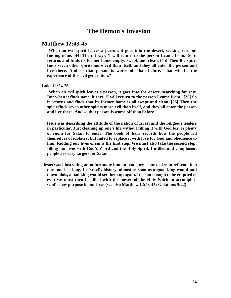### **The Demon's Invasion**

#### **Matthew 12:43-45**

**"When an evil spirit leaves a person, it goes into the desert, seeking rest but finding none. [44] Then it says, 'I will return to the person I came from.' So it returns and finds its former home empty, swept, and clean. [45] Then the spirit finds seven other spirits more evil than itself, and they all enter the person and live there. And so that person is worse off than before. That will be the experience of this evil generation."**

#### **Luke 11:24-26**

**"When an evil spirit leaves a person, it goes into the desert, searching for rest. But when it finds none, it says, 'I will return to the person I came from.' [25] So it returns and finds that its former home is all swept and clean. [26] Then the spirit finds seven other spirits more evil than itself, and they all enter the person and live there. And so that person is worse off than before."**

**Jesus was describing the attitude of the nation of Israel and the religious leaders in particular. Just cleaning up one's life without filling it with God leaves plenty of room for Satan to enter. The book of Ezra records how the people rid themselves of idolatry, but failed to replace it with love for God and obedience to him. Ridding our lives of sin is the first step. We must also take the second step: filling our lives with God's Word and the Holy Spirit. Unfilled and complacent people are easy targets for Satan.**

**Jesus was illustrating an unfortunate human tendency—our desire to reform often does not last long. In Israel's history, almost as soon as a good king would pull down idols, a bad king would set them up again. It is not enough to be emptied of evil; we must then be filled with the power of the Holy Spirit to accomplish God's new purpose in our lives (see also Matthew 12:43-45; Galatians 5:22)**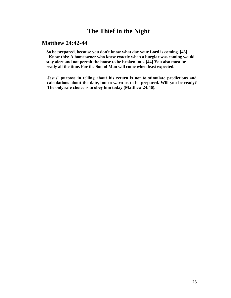## **The Thief in the Night**

### **Matthew 24:42-44**

**So be prepared, because you don't know what day your Lord is coming. [43] "Know this: A homeowner who knew exactly when a burglar was coming would stay alert and not permit the house to be broken into. [44] You also must be ready all the time. For the Son of Man will come when least expected.**

**Jesus' purpose in telling about his return is not to stimulate predictions and calculations about the date, but to warn us to be prepared. Will you be ready? The only safe choice is to obey him today (Matthew 24:46).**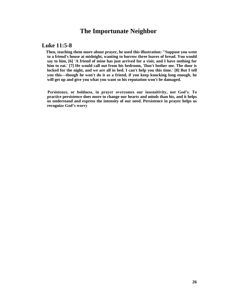## **The Importunate Neighbor**

### **Luke 11:5-8**

**Then, teaching them more about prayer, he used this illustration: "Suppose you went to a friend's house at midnight, wanting to borrow three loaves of bread. You would say to him, [6] 'A friend of mine has just arrived for a visit, and I have nothing for him to eat.' [7] He would call out from his bedroom, 'Don't bother me. The door is locked for the night, and we are all in bed. I can't help you this time.' [8] But I tell you this—though he won't do it as a friend, if you keep knocking long enough, he will get up and give you what you want so his reputation won't be damaged.**

**Persistence, or boldness, in prayer overcomes our insensitivity, not God's. To practice persistence does more to change our hearts and minds than his, and it helps us understand and express the intensity of our need. Persistence in prayer helps us recognize God's worry**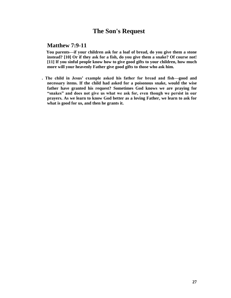## **The Son's Request**

### **Matthew 7:9-11**

**You parents—if your children ask for a loaf of bread, do you give them a stone instead? [10] Or if they ask for a fish, do you give them a snake? Of course not! [11] If you sinful people know how to give good gifts to your children, how much more will your heavenly Father give good gifts to those who ask him.**

**. The child in Jesus' example asked his father for bread and fish—good and necessary items. If the child had asked for a poisonous snake, would the wise father have granted his request? Sometimes God knows we are praying for "snakes" and does not give us what we ask for, even though we persist in our prayers. As we learn to know God better as a loving Father, we learn to ask for what is good for us, and then he grants it.**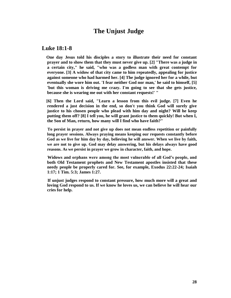## **The Unjust Judge**

### **Luke 18:1-8**

**One day Jesus told his disciples a story to illustrate their need for constant prayer and to show them that they must never give up. [2] "There was a judge in a certain city," he said, "who was a godless man with great contempt for everyone. [3] A widow of that city came to him repeatedly, appealing for justice against someone who had harmed her. [4] The judge ignored her for a while, but eventually she wore him out. 'I fear neither God nor man,' he said to himself, [5] 'but this woman is driving me crazy. I'm going to see that she gets justice, because she is wearing me out with her constant requests!' "**

**[6] Then the Lord said, "Learn a lesson from this evil judge. [7] Even he rendered a just decision in the end, so don't you think God will surely give justice to his chosen people who plead with him day and night? Will he keep putting them off? [8] I tell you, he will grant justice to them quickly! But when I, the Son of Man, return, how many will I find who have faith?"**

**To persist in prayer and not give up does not mean endless repetition or painfully long prayer sessions. Always praying means keeping our requests constantly before God as we live for him day by day, believing he will answer. When we live by faith, we are not to give up. God may delay answering, but his delays always have good reasons. As we persist in prayer we grow in character, faith, and hope.**

**Widows and orphans were among the most vulnerable of all God's people, and both Old Testament prophets and New Testament apostles insisted that these needy people be properly cared for. See, for example, Exodus 22:22-24; Isaiah 1:17; 1 Tim. 5:3; James 1:27.**

**If unjust judges respond to constant pressure, how much more will a great and loving God respond to us. If we know he loves us, we can believe he will hear our cries for help.**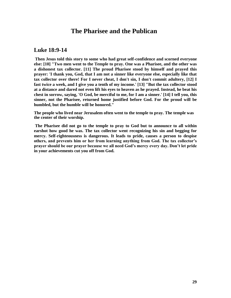## **The Pharisee and the Publican**

### **Luke 18:9-14**

**Then Jesus told this story to some who had great self-confidence and scorned everyone else: [10] "Two men went to the Temple to pray. One was a Pharisee, and the other was a dishonest tax collector. [11] The proud Pharisee stood by himself and prayed this prayer: 'I thank you, God, that I am not a sinner like everyone else, especially like that tax collector over there! For I never cheat, I don't sin, I don't commit adultery, [12] I fast twice a week, and I give you a tenth of my income.' [13] "But the tax collector stood at a distance and dared not even lift his eyes to heaven as he prayed. Instead, he beat his chest in sorrow, saying, 'O God, be merciful to me, for I am a sinner.' [14] I tell you, this sinner, not the Pharisee, returned home justified before God. For the proud will be humbled, but the humble will be honored."**

**The people who lived near Jerusalem often went to the temple to pray. The temple was the center of their worship.**

**The Pharisee did not go to the temple to pray to God but to announce to all within earshot how good he was. The tax collector went recognizing his sin and begging for mercy. Self-righteousness is dangerous. It leads to pride, causes a person to despise others, and prevents him or her from learning anything from God. The tax collector's prayer should be our prayer because we all need God's mercy every day. Don't let pride in your achievements cut you off from God.**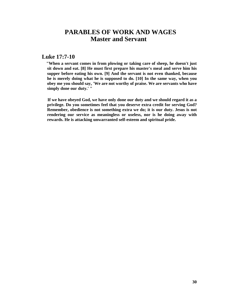## **PARABLES OF WORK AND WAGES Master and Servant**

### **Luke 17:7-10**

**"When a servant comes in from plowing or taking care of sheep, he doesn't just sit down and eat. [8] He must first prepare his master's meal and serve him his supper before eating his own. [9] And the servant is not even thanked, because he is merely doing what he is supposed to do. [10] In the same way, when you obey me you should say, 'We are not worthy of praise. We are servants who have simply done our duty.' "**

**If we have obeyed God, we have only done our duty and we should regard it as a privilege. Do you sometimes feel that you deserve extra credit for serving God? Remember, obedience is not something extra we do; it is our duty. Jesus is not rendering our service as meaningless or useless, nor is he doing away with rewards. He is attacking unwarranted self-esteem and spiritual pride.**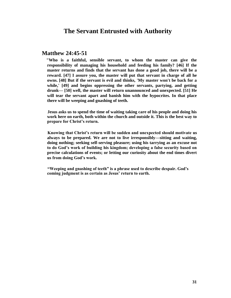## **The Servant Entrusted with Authority**

### **Matthew 24:45-51**

**"Who is a faithful, sensible servant, to whom the master can give the responsibility of managing his household and feeding his family? [46] If the master returns and finds that the servant has done a good job, there will be a reward. [47] I assure you, the master will put that servant in charge of all he owns. [48] But if the servant is evil and thinks, 'My master won't be back for a while,' [49] and begins oppressing the other servants, partying, and getting drunk— [50] well, the master will return unannounced and unexpected. [51] He will tear the servant apart and banish him with the hypocrites. In that place there will be weeping and gnashing of teeth.**

**Jesus asks us to spend the time of waiting taking care of his people and doing his work here on earth, both within the church and outside it. This is the best way to prepare for Christ's return.**

**Knowing that Christ's return will be sudden and unexpected should motivate us always to be prepared. We are not to live irresponsibly—sitting and waiting, doing nothing; seeking self-serving pleasure; using his tarrying as an excuse not to do God's work of building his kingdom; developing a false security based on precise calculations of events; or letting our curiosity about the end times divert us from doing God's work.**

**"Weeping and gnashing of teeth" is a phrase used to describe despair. God's coming judgment is as certain as Jesus' return to earth.**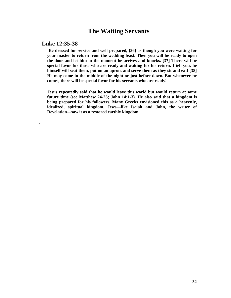## **The Waiting Servants**

## **Luke 12:35-38**

**.**

**"Be dressed for service and well prepared, [36] as though you were waiting for your master to return from the wedding feast. Then you will be ready to open the door and let him in the moment he arrives and knocks. [37] There will be special favor for those who are ready and waiting for his return. I tell you, he himself will seat them, put on an apron, and serve them as they sit and eat! [38] He may come in the middle of the night or just before dawn. But whenever he comes, there will be special favor for his servants who are ready!**

**Jesus repeatedly said that he would leave this world but would return at some future time (see Matthew 24-25; John 14:1-3). He also said that a kingdom is being prepared for his followers. Many Greeks envisioned this as a heavenly, idealized, spiritual kingdom. Jews—like Isaiah and John, the writer of Revelation—saw it as a restored earthly kingdom.**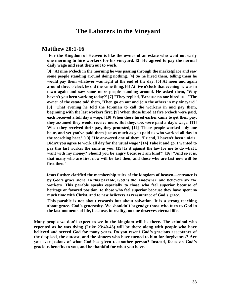### **The Laborers in the Vineyard**

#### **Matthew 20:1-16**

**"For the Kingdom of Heaven is like the owner of an estate who went out early one morning to hire workers for his vineyard. [2] He agreed to pay the normal daily wage and sent them out to work.**

**[3] "At nine o'clock in the morning he was passing through the marketplace and saw some people standing around doing nothing. [4] So he hired them, telling them he would pay them whatever was right at the end of the day. [5] At noon and again around three o'clock he did the same thing. [6] At five o'clock that evening he was in town again and saw some more people standing around. He asked them, 'Why haven't you been working today?' [7] "They replied, 'Because no one hired us.' "The owner of the estate told them, 'Then go on out and join the others in my vineyard.' [8] "That evening he told the foreman to call the workers in and pay them, beginning with the last workers first. [9] When those hired at five o'clock were paid, each received a full day's wage. [10] When those hired earlier came to get their pay, they assumed they would receive more. But they, too, were paid a day's wage. [11] When they received their pay, they protested, [12] 'Those people worked only one hour, and yet you've paid them just as much as you paid us who worked all day in the scorching heat.' [13] "He answered one of them, 'Friend, I haven't been unfair! Didn't you agree to work all day for the usual wage? [14] Take it and go. I wanted to pay this last worker the same as you. [15] Is it against the law for me to do what I want with my money? Should you be angry because I am kind?' [16] "And so it is, that many who are first now will be last then; and those who are last now will be first then."**

**Jesus further clarified the membership rules of the kingdom of heaven—entrance is by God's grace alone. In this parable, God is the landowner, and believers are the workers. This parable speaks especially to those who feel superior because of heritage or favored position, to those who feel superior because they have spent so much time with Christ, and to new believers as reassurance of God's grace.**

**This parable is not about rewards but about salvation. It is a strong teaching about grace, God's generosity. We shouldn't begrudge those who turn to God in the last moments of life, because, in reality, no one deserves eternal life.**

**Many people we don't expect to see in the kingdom will be there. The criminal who repented as he was dying (Luke 23:40-43) will be there along with people who have believed and served God for many years. Do you resent God's gracious acceptance of the despised, the outcast, and the sinners who have turned to him for forgiveness? Are you ever jealous of what God has given to another person? Instead, focus on God's gracious benefits to you, and be thankful for what you have.**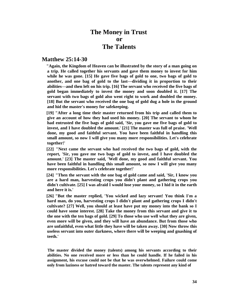## **The Money in Trust or The Talents**

### **Matthew 25:14-30**

**"Again, the Kingdom of Heaven can be illustrated by the story of a man going on a trip. He called together his servants and gave them money to invest for him while he was gone. [15] He gave five bags of gold to one, two bags of gold to another, and one bag of gold to the last—dividing it in proportion to their abilities—and then left on his trip. [16] The servant who received the five bags of gold began immediately to invest the money and soon doubled it. [17] The servant with two bags of gold also went right to work and doubled the money. [18] But the servant who received the one bag of gold dug a hole in the ground and hid the master's money for safekeeping.**

**[19] "After a long time their master returned from his trip and called them to give an account of how they had used his money. [20] The servant to whom he had entrusted the five bags of gold said, 'Sir, you gave me five bags of gold to invest, and I have doubled the amount.' [21] The master was full of praise. 'Well done, my good and faithful servant. You have been faithful in handling this small amount, so now I will give you many more responsibilities. Let's celebrate together!'** 

**[22] "Next came the servant who had received the two bags of gold, with the report, 'Sir, you gave me two bags of gold to invest, and I have doubled the amount.' [23] The master said, 'Well done, my good and faithful servant. You have been faithful in handling this small amount, so now I will give you many more responsibilities. Let's celebrate together!'** 

**[24] "Then the servant with the one bag of gold came and said, 'Sir, I know you are a hard man, harvesting crops you didn't plant and gathering crops you didn't cultivate. [25] I was afraid I would lose your money, so I hid it in the earth and here it is.'** 

**[26] "But the master replied, 'You wicked and lazy servant! You think I'm a hard man, do you, harvesting crops I didn't plant and gathering crops I didn't cultivate? [27] Well, you should at least have put my money into the bank so I could have some interest. [28] Take the money from this servant and give it to the one with the ten bags of gold. [29] To those who use well what they are given, even more will be given, and they will have an abundance. But from those who are unfaithful, even what little they have will be taken away. [30] Now throw this useless servant into outer darkness, where there will be weeping and gnashing of teeth.'** 

**The master divided the money (talents) among his servants according to their abilities. No one received more or less than he could handle. If he failed in his assignment, his excuse could not be that he was overwhelmed. Failure could come only from laziness or hatred toward the master. The talents represent any kind of**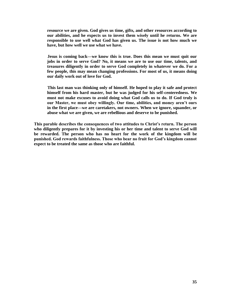**resource we are given. God gives us time, gifts, and other resources according to our abilities, and he expects us to invest them wisely until he returns. We are responsible to use well what God has given us. The issue is not how much we have, but how well we use what we have.**

**Jesus is coming back—we know this is true. Does this mean we must quit our jobs in order to serve God? No, it means we are to use our time, talents, and treasures diligently in order to serve God completely in whatever we do. For a few people, this may mean changing professions. For most of us, it means doing our daily work out of love for God.**

**This last man was thinking only of himself. He hoped to play it safe and protect himself from his hard master, but he was judged for his self-centeredness. We must not make excuses to avoid doing what God calls us to do. If God truly is our Master, we must obey willingly. Our time, abilities, and money aren't ours in the first place—we are caretakers, not owners. When we ignore, squander, or abuse what we are given, we are rebellious and deserve to be punished.**

**This parable describes the consequences of two attitudes to Christ's return. The person who diligently prepares for it by investing his or her time and talent to serve God will be rewarded. The person who has no heart for the work of the kingdom will be punished. God rewards faithfulness. Those who bear no fruit for God's kingdom cannot expect to be treated the same as those who are faithful.**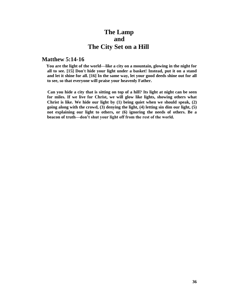## **The Lamp and The City Set on a Hill**

### **Matthew 5:14-16**

**You are the light of the world—like a city on a mountain, glowing in the night for all to see. [15] Don't hide your light under a basket! Instead, put it on a stand and let it shine for all. [16] In the same way, let your good deeds shine out for all to see, so that everyone will praise your heavenly Father.**

**Can you hide a city that is sitting on top of a hill? Its light at night can be seen for miles. If we live for Christ, we will glow like lights, showing others what Christ is like. We hide our light by (1) being quiet when we should speak, (2) going along with the crowd, (3) denying the light, (4) letting sin dim our light, (5) not explaining our light to others, or (6) ignoring the needs of others. Be a beacon of truth—don't shut your light off from the rest of the world.**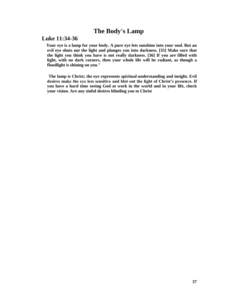## **The Body's Lamp**

### **Luke 11:34-36**

**Your eye is a lamp for your body. A pure eye lets sunshine into your soul. But an evil eye shuts out the light and plunges you into darkness. [35] Make sure that the light you think you have is not really darkness. [36] If you are filled with light, with no dark corners, then your whole life will be radiant, as though a floodlight is shining on you."**

**The lamp is Christ; the eye represents spiritual understanding and insight. Evil desires make the eye less sensitive and blot out the light of Christ's presence. If you have a hard time seeing God at work in the world and in your life, check your vision. Are any sinful desires blinding you to Christ**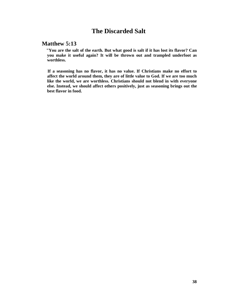## **The Discarded Salt**

## **Matthew 5:13**

**"You are the salt of the earth. But what good is salt if it has lost its flavor? Can you make it useful again? It will be thrown out and trampled underfoot as worthless.**

**If a seasoning has no flavor, it has no value. If Christians make no effort to affect the world around them, they are of little value to God. If we are too much like the world, we are worthless. Christians should not blend in with everyone else. Instead, we should affect others positively, just as seasoning brings out the best flavor in food.**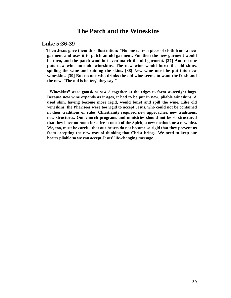### **The Patch and the Wineskins**

#### **Luke 5:36-39**

**Then Jesus gave them this illustration: "No one tears a piece of cloth from a new garment and uses it to patch an old garment. For then the new garment would be torn, and the patch wouldn't even match the old garment. [37] And no one puts new wine into old wineskins. The new wine would burst the old skins, spilling the wine and ruining the skins. [38] New wine must be put into new wineskins. [39] But no one who drinks the old wine seems to want the fresh and the new. 'The old is better,' they say."**

**"Wineskins" were goatskins sewed together at the edges to form watertight bags. Because new wine expands as it ages, it had to be put in new, pliable wineskins. A used skin, having become more rigid, would burst and spill the wine. Like old wineskins, the Pharisees were too rigid to accept Jesus, who could not be contained in their traditions or rules. Christianity required new approaches, new traditions, new structures. Our church programs and ministries should not be so structured that they have no room for a fresh touch of the Spirit, a new method, or a new idea. We, too, must be careful that our hearts do not become so rigid that they prevent us from accepting the new way of thinking that Christ brings. We need to keep our hearts pliable so we can accept Jesus' life-changing message.**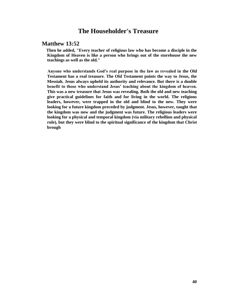### **The Householder's Treasure**

### **Matthew 13:52**

**Then he added, "Every teacher of religious law who has become a disciple in the Kingdom of Heaven is like a person who brings out of the storehouse the new teachings as well as the old."**

**Anyone who understands God's real purpose in the law as revealed in the Old Testament has a real treasure. The Old Testament points the way to Jesus, the Messiah. Jesus always upheld its authority and relevance. But there is a double benefit to those who understand Jesus' teaching about the kingdom of heaven. This was a new treasure that Jesus was revealing. Both the old and new teaching give practical guidelines for faith and for living in the world. The religious leaders, however, were trapped in the old and blind to the new. They were looking for a future kingdom preceded by judgment. Jesus, however, taught that the kingdom was now and the judgment was future. The religious leaders were looking for a physical and temporal kingdom (via military rebellion and physical rule), but they were blind to the spiritual significance of the kingdom that Christ brough**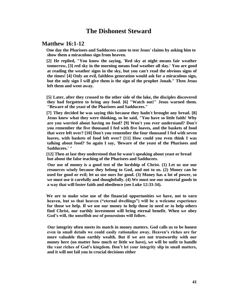## **The Dishonest Steward**

### **Matthew 16:1-12**

**One day the Pharisees and Sadducees came to test Jesus' claims by asking him to show them a miraculous sign from heaven.**

**[2] He replied, "You know the saying, 'Red sky at night means fair weather tomorrow, [3] red sky in the morning means foul weather all day.' You are good at reading the weather signs in the sky, but you can't read the obvious signs of the times! [4] Only an evil, faithless generation would ask for a miraculous sign, but the only sign I will give them is the sign of the prophet Jonah." Then Jesus left them and went away.** 

**[5] Later, after they crossed to the other side of the lake, the disciples discovered they had forgotten to bring any food. [6] "Watch out!" Jesus warned them. "Beware of the yeast of the Pharisees and Sadducees."** 

**[7] They decided he was saying this because they hadn't brought any bread. [8] Jesus knew what they were thinking, so he said, "You have so little faith! Why are you worried about having no food? [9] Won't you ever understand? Don't you remember the five thousand I fed with five loaves, and the baskets of food that were left over? [10] Don't you remember the four thousand I fed with seven loaves, with baskets of food left over? [11] How could you even think I was talking about food? So again I say, 'Beware of the yeast of the Pharisees and Sadducees.' "** 

**[12] Then at last they understood that he wasn't speaking about yeast or bread but about the false teaching of the Pharisees and Sadducees.**

**Our use of money is a good test of the lordship of Christ. (1) Let us use our resources wisely because they belong to God, and not to us. (2) Money can be used for good or evil; let us use ours for good. (3) Money has a lot of power, so we must use it carefully and thoughtfully. (4) We must use our material goods in a way that will foster faith and obedience (see Luke 12:33-34).**

**We are to make wise use of the financial opportunities we have, not to earn heaven, but so that heaven ("eternal dwellings") will be a welcome experience for those we help. If we use our money to help those in need or to help others find Christ, our earthly investment will bring eternal benefit. When we obey God's will, the unselfish use of possessions will follow.**

**Our integrity often meets its match in money matters. God calls us to be honest even in small details we could easily rationalize away. Heaven's riches are far more valuable than earthly wealth. But if we are not trustworthy with our money here (no matter how much or little we have), we will be unfit to handle the vast riches of God's kingdom. Don't let your integrity slip in small matters, and it will not fail you in crucial decisions either**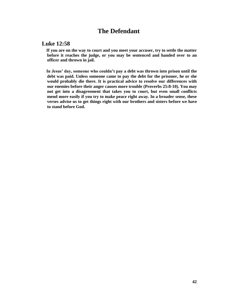## **The Defendant**

### **Luke 12:58**

**If you are on the way to court and you meet your accuser, try to settle the matter before it reaches the judge, or you may be sentenced and handed over to an officer and thrown in jail.**

**In Jesus' day, someone who couldn't pay a debt was thrown into prison until the debt was paid. Unless someone came to pay the debt for the prisoner, he or she would probably die there. It is practical advice to resolve our differences with our enemies before their anger causes more trouble (Proverbs 25:8-10). You may not get into a disagreement that takes you to court, but even small conflicts mend more easily if you try to make peace right away. In a broader sense, these verses advise us to get things right with our brothers and sisters before we have to stand before God.**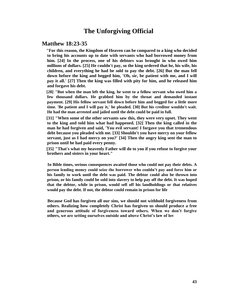## **The Unforgiving Official**

#### **Matthew 18:23-35**

**"For this reason, the Kingdom of Heaven can be compared to a king who decided to bring his accounts up to date with servants who had borrowed money from him. [24] In the process, one of his debtors was brought in who owed him millions of dollars. [25] He couldn't pay, so the king ordered that he, his wife, his children, and everything he had be sold to pay the debt. [26] But the man fell down before the king and begged him, 'Oh, sir, be patient with me, and I will pay it all.' [27] Then the king was filled with pity for him, and he released him and forgave his debt.**

**[28] "But when the man left the king, he went to a fellow servant who owed him a few thousand dollars. He grabbed him by the throat and demanded instant payment. [29] His fellow servant fell down before him and begged for a little more time. 'Be patient and I will pay it,' he pleaded. [30] But his creditor wouldn't wait. He had the man arrested and jailed until the debt could be paid in full.** 

**[31] "When some of the other servants saw this, they were very upset. They went to the king and told him what had happened. [32] Then the king called in the man he had forgiven and said, 'You evil servant! I forgave you that tremendous debt because you pleaded with me. [33] Shouldn't you have mercy on your fellow servant, just as I had mercy on you?' [34] Then the angry king sent the man to prison until he had paid every penny.** 

**[35] "That's what my heavenly Father will do to you if you refuse to forgive your brothers and sisters in your heart."** 

**In Bible times, serious consequences awaited those who could not pay their debts. A person lending money could seize the borrower who couldn't pay and force him or his family to work until the debt was paid. The debtor could also be thrown into prison, or his family could be sold into slavery to help pay off the debt. It was hoped that the debtor, while in prison, would sell off his landholdings or that relatives would pay the debt. If not, the debtor could remain in prison for life**

**Because God has forgiven all our sins, we should not withhold forgiveness from others. Realizing how completely Christ has forgiven us should produce a free and generous attitude of forgiveness toward others. When we don't forgive others, we are setting ourselves outside and above Christ's law of lov**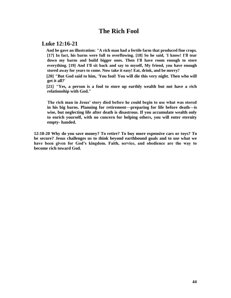## **The Rich Fool**

### **Luke 12:16-21**

**And he gave an illustration: "A rich man had a fertile farm that produced fine crops. [17] In fact, his barns were full to overflowing. [18] So he said, 'I know! I'll tear down my barns and build bigger ones. Then I'll have room enough to store everything. [19] And I'll sit back and say to myself, My friend, you have enough stored away for years to come. Now take it easy! Eat, drink, and be merry!'**

**[20] "But God said to him, 'You fool! You will die this very night. Then who will get it all?'** 

**[21] "Yes, a person is a fool to store up earthly wealth but not have a rich relationship with God."** 

**The rich man in Jesus' story died before he could begin to use what was stored in his big barns. Planning for retirement—preparing for life before death—is wise, but neglecting life after death is disastrous. If you accumulate wealth only to enrich yourself, with no concern for helping others, you will enter eternity empty- handed.**

**12:18-20 Why do you save money? To retire? To buy more expensive cars or toys? To be secure? Jesus challenges us to think beyond earthbound goals and to use what we have been given for God's kingdom. Faith, service, and obedience are the way to become rich toward God.**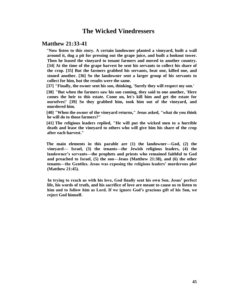## **The Wicked Vinedressers**

### **Matthew 21:33-41**

**"Now listen to this story. A certain landowner planted a vineyard, built a wall around it, dug a pit for pressing out the grape juice, and built a lookout tower. Then he leased the vineyard to tenant farmers and moved to another country. [34] At the time of the grape harvest he sent his servants to collect his share of the crop. [35] But the farmers grabbed his servants, beat one, killed one, and stoned another. [36] So the landowner sent a larger group of his servants to collect for him, but the results were the same.**

**[37] "Finally, the owner sent his son, thinking, 'Surely they will respect my son.'** 

**[38] "But when the farmers saw his son coming, they said to one another, 'Here comes the heir to this estate. Come on, let's kill him and get the estate for ourselves!' [39] So they grabbed him, took him out of the vineyard, and murdered him.** 

**[40] "When the owner of the vineyard returns," Jesus asked, "what do you think he will do to those farmers?"** 

**[41] The religious leaders replied, "He will put the wicked men to a horrible death and lease the vineyard to others who will give him his share of the crop after each harvest."** 

**The main elements in this parable are (1) the landowner—God, (2) the vineyard— Israel, (3) the tenants—the Jewish religious leaders, (4) the landowner's servants—the prophets and priests who remained faithful to God and preached to Israel, (5) the son—Jesus (Matthew 21:38), and (6) the other tenants—the Gentiles. Jesus was exposing the religious leaders' murderous plot (Matthew 21:45).**

**In trying to reach us with his love, God finally sent his own Son. Jesus' perfect life, his words of truth, and his sacrifice of love are meant to cause us to listen to him and to follow him as Lord. If we ignore God's gracious gift of his Son, we reject God himself.**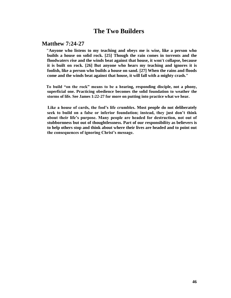## **The Two Builders**

### **Matthew 7:24-27**

**"Anyone who listens to my teaching and obeys me is wise, like a person who builds a house on solid rock. [25] Though the rain comes in torrents and the floodwaters rise and the winds beat against that house, it won't collapse, because it is built on rock. [26] But anyone who hears my teaching and ignores it is foolish, like a person who builds a house on sand. [27] When the rains and floods come and the winds beat against that house, it will fall with a mighty crash."**

**To build "on the rock" means to be a hearing, responding disciple, not a phony, superficial one. Practicing obedience becomes the solid foundation to weather the storms of life. See James 1:22-27 for more on putting into practice what we hear.**

**Like a house of cards, the fool's life crumbles. Most people do not deliberately seek to build on a false or inferior foundation; instead, they just don't think about their life's purpose. Many people are headed for destruction, not out of stubbornness but out of thoughtlessness. Part of our responsibility as believers is to help others stop and think about where their lives are headed and to point out the consequences of ignoring Christ's message.**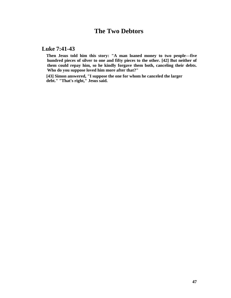# **The Two Debtors**

### **Luke 7:41-43**

**Then Jesus told him this story: "A man loaned money to two people—five hundred pieces of silver to one and fifty pieces to the other. [42] But neither of them could repay him, so he kindly forgave them both, canceling their debts. Who do you suppose loved him more after that?"**

**[43] Simon answered, "I suppose the one for whom he canceled the larger debt." "That's right," Jesus said.**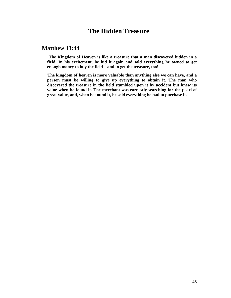## **The Hidden Treasure**

### **Matthew 13:44**

**"The Kingdom of Heaven is like a treasure that a man discovered hidden in a field. In his excitement, he hid it again and sold everything he owned to get enough money to buy the field—and to get the treasure, too!**

**The kingdom of heaven is more valuable than anything else we can have, and a person must be willing to give up everything to obtain it. The man who discovered the treasure in the field stumbled upon it by accident but knew its value when he found it. The merchant was earnestly searching for the pearl of great value, and, when he found it, he sold everything he had to purchase it.**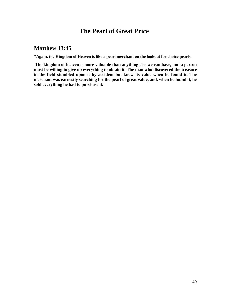## **The Pearl of Great Price**

### **Matthew 13:45**

**"Again, the Kingdom of Heaven is like a pearl merchant on the lookout for choice pearls.**

**The kingdom of heaven is more valuable than anything else we can have, and a person must be willing to give up everything to obtain it. The man who discovered the treasure in the field stumbled upon it by accident but knew its value when he found it. The merchant was earnestly searching for the pearl of great value, and, when he found it, he sold everything he had to purchase it.**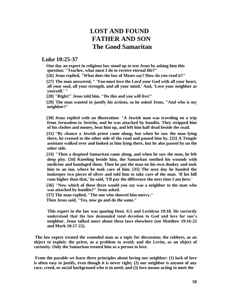# **LOST AND FOUND FATHER AND SON The Good Samaritan**

### **Luke 10:25-37**

**One day an expert in religious law stood up to test Jesus by asking him this question: "Teacher, what must I do to receive eternal life?"**

**[26] Jesus replied, "What does the law of Moses say? How do you read it?"** 

**[27] The man answered, " 'You must love the Lord your God with all your heart, all your soul, all your strength, and all your mind.' And, 'Love your neighbor as yourself.' "** 

**[28] "Right!" Jesus told him. "Do this and you will live!"** 

**[29] The man wanted to justify his actions, so he asked Jesus, "And who is my neighbor?"** 

**[30] Jesus replied with an illustration: "A Jewish man was traveling on a trip from Jerusalem to Jericho, and he was attacked by bandits. They stripped him of his clothes and money, beat him up, and left him half dead beside the road.** 

**[31] "By chance a Jewish priest came along; but when he saw the man lying there, he crossed to the other side of the road and passed him by. [32] A Temple assistant walked over and looked at him lying there, but he also passed by on the other side.** 

**[33] "Then a despised Samaritan came along, and when he saw the man, he felt deep pity. [34] Kneeling beside him, the Samaritan soothed his wounds with medicine and bandaged them. Then he put the man on his own donkey and took him to an inn, where he took care of him. [35] The next day he handed the innkeeper two pieces of silver and told him to take care of the man. 'If his bill runs higher than that,' he said, 'I'll pay the difference the next time I am here.'** 

**[36] "Now which of these three would you say was a neighbor to the man who was attacked by bandits?" Jesus asked.** 

**[37] The man replied, "The one who showed him mercy."** 

**Then Jesus said, "Yes, now go and do the same."**

**This expert in the law was quoting Deut. 6:5 and Leviticus 19:18. He correctly understood that the law demanded total devotion to God and love for one's neighbor. Jesus talked more about these laws elsewhere (see Matthew 19:16-22 and Mark 10:17-22).**

**The law expert treated the wounded man as a topic for discussion; the robbers, as an object to exploit; the priest, as a problem to avoid; and the Levite, as an object of curiosity. Only the Samaritan treated him as a person to love.**

**From the parable we learn three principles about loving our neighbor: (1) lack of love is often easy to justify, even though it is never right; (2) our neighbor is anyone of any race, creed, or social background who is in need; and (3) love means acting to meet the**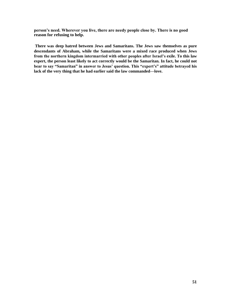**person's need. Wherever you live, there are needy people close by. There is no good reason for refusing to help.**

**There was deep hatred between Jews and Samaritans. The Jews saw themselves as pure descendants of Abraham, while the Samaritans were a mixed race produced when Jews from the northern kingdom intermarried with other peoples after Israel's exile. To this law expert, the person least likely to act correctly would be the Samaritan. In fact, he could not bear to say "Samaritan" in answer to Jesus' question. This "expert's" attitude betrayed his lack of the very thing that he had earlier said the law commanded—love.**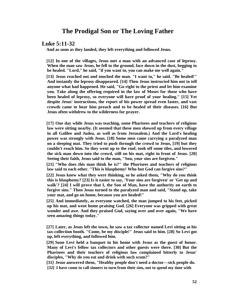### **The Prodigal Son or The Loving Father**

#### **Luke 5:11-32**

**And as soon as they landed, they left everything and followed Jesus.**

**[12] In one of the villages, Jesus met a man with an advanced case of leprosy. When the man saw Jesus, he fell to the ground, face down in the dust, begging to be healed. "Lord," he said, "if you want to, you can make me well again."** 

**[13] Jesus reached out and touched the man. "I want to," he said. "Be healed!" And instantly the leprosy disappeared. [14] Then Jesus instructed him not to tell anyone what had happened. He said, "Go right to the priest and let him examine you. Take along the offering required in the law of Moses for those who have been healed of leprosy, so everyone will have proof of your healing." [15] Yet despite Jesus' instructions, the report of his power spread even faster, and vast crowds came to hear him preach and to be healed of their diseases. [16] But Jesus often withdrew to the wilderness for prayer.** 

**[17] One day while Jesus was teaching, some Pharisees and teachers of religious law were sitting nearby. (It seemed that these men showed up from every village in all Galilee and Judea, as well as from Jerusalem.) And the Lord's healing power was strongly with Jesus. [18] Some men came carrying a paralyzed man on a sleeping mat. They tried to push through the crowd to Jesus, [19] but they couldn't reach him. So they went up to the roof, took off some tiles, and lowered the sick man down into the crowd, still on his mat, right in front of Jesus. [20] Seeing their faith, Jesus said to the man, "Son, your sins are forgiven."** 

**[21] "Who does this man think he is?" the Pharisees and teachers of religious law said to each other. "This is blasphemy! Who but God can forgive sins?"** 

**[22] Jesus knew what they were thinking, so he asked them, "Why do you think this is blasphemy? [23] Is it easier to say, 'Your sins are forgiven' or 'Get up and walk'? [24] I will prove that I, the Son of Man, have the authority on earth to forgive sins." Then Jesus turned to the paralyzed man and said, "Stand up, take your mat, and go on home, because you are healed!"** 

**[25] And immediately, as everyone watched, the man jumped to his feet, picked up his mat, and went home praising God. [26] Everyone was gripped with great wonder and awe. And they praised God, saying over and over again, "We have seen amazing things today."** 

**[27] Later, as Jesus left the town, he saw a tax collector named Levi sitting at his tax-collection booth. "Come, be my disciple!" Jesus said to him. [28] So Levi got up, left everything, and followed him.** 

**[29] Soon Levi held a banquet in his home with Jesus as the guest of honor. Many of Levi's fellow tax collectors and other guests were there. [30] But the Pharisees and their teachers of religious law complained bitterly to Jesus' disciples, "Why do you eat and drink with such scum?"** 

**[31] Jesus answered them, "Healthy people don't need a doctor—sick people do.** 

**[32] I have come to call sinners to turn from their sins, not to spend my time with**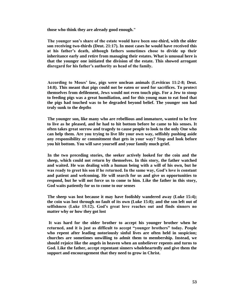**those who think they are already good enough."**

**The younger son's share of the estate would have been one-third, with the older son receiving two-thirds (Deut. 21:17). In most cases he would have received this at his father's death, although fathers sometimes chose to divide up their inheritance early and retire from managing their estates. What is unusual here is that the younger one initiated the division of the estate. This showed arrogant disregard for his father's authority as head of the family.**

**According to Moses' law, pigs were unclean animals (Leviticus 11:2-8; Deut. 14:8). This meant that pigs could not be eaten or used for sacrifices. To protect themselves from defilement, Jews would not even touch pigs. For a Jew to stoop to feeding pigs was a great humiliation, and for this young man to eat food that the pigs had touched was to be degraded beyond belief. The younger son had truly sunk to the depths**

**The younger son, like many who are rebellious and immature, wanted to be free to live as he pleased, and he had to hit bottom before he came to his senses. It often takes great sorrow and tragedy to cause people to look to the only One who can help them. Are you trying to live life your own way, selfishly pushing aside any responsibility or commitment that gets in your way? Stop and look before you hit bottom. You will save yourself and your family much grief.**

**In the two preceding stories, the seeker actively looked for the coin and the sheep, which could not return by themselves. In this story, the father watched and waited. He was dealing with a human being with a will of his own, but he was ready to greet his son if he returned. In the same way, God's love is constant and patient and welcoming. He will search for us and give us opportunities to respond, but he will not force us to come to him. Like the father in this story, God waits patiently for us to come to our senses**

**The sheep was lost because it may have foolishly wandered away (Luke 15:4); the coin was lost through no fault of its own (Luke 15:8); and the son left out of selfishness (Luke 15:12). God's great love reaches out and finds sinners no matter why or how they got lost**

**It was hard for the older brother to accept his younger brother when he returned, and it is just as difficult to accept "younger brothers" today. People who repent after leading notoriously sinful lives are often held in suspicion; churches are sometimes unwilling to admit them to membership. Instead, we should rejoice like the angels in heaven when an unbeliever repents and turns to God. Like the father, accept repentant sinners wholeheartedly and give them the support and encouragement that they need to grow in Christ.**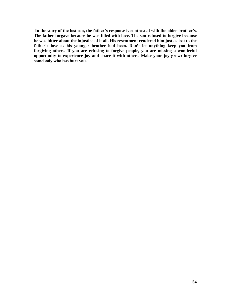**In the story of the lost son, the father's response is contrasted with the older brother's. The father forgave because he was filled with love. The son refused to forgive because he was bitter about the injustice of it all. His resentment rendered him just as lost to the father's love as his younger brother had been. Don't let anything keep you from forgiving others. If you are refusing to forgive people, you are missing a wonderful opportunity to experience joy and share it with others. Make your joy grow: forgive somebody who has hurt you.**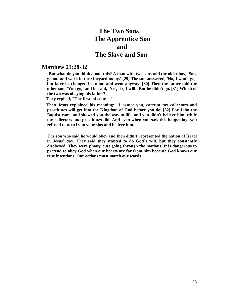# **The Two Sons The Apprentice Son and The Slave and Son**

### **Matthew 21:28-32**

**"But what do you think about this? A man with two sons told the older boy, 'Son, go out and work in the vineyard today.' [29] The son answered, 'No, I won't go,' but later he changed his mind and went anyway. [30] Then the father told the other son, 'You go,' and he said, 'Yes, sir, I will.' But he didn't go. [31] Which of the two was obeying his father?"**

**They replied, "The first, of course."**

**Then Jesus explained his meaning: "I assure you, corrupt tax collectors and prostitutes will get into the Kingdom of God before you do. [32] For John the Baptist came and showed you the way to life, and you didn't believe him, while tax collectors and prostitutes did. And even when you saw this happening, you refused to turn from your sins and believe him.**

**The son who said he would obey and then didn't represented the nation of Israel in Jesus' day. They said they wanted to do God's will, but they constantly disobeyed. They were phony, just going through the motions. It is dangerous to pretend to obey God when our hearts are far from him because God knows our true intentions. Our actions must match our words.**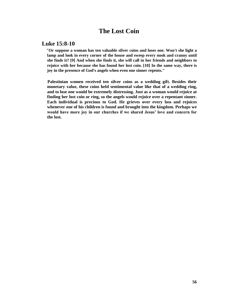## **The Lost Coin**

### **Luke 15:8-10**

**"Or suppose a woman has ten valuable silver coins and loses one. Won't she light a lamp and look in every corner of the house and sweep every nook and cranny until she finds it? [9] And when she finds it, she will call in her friends and neighbors to rejoice with her because she has found her lost coin. [10] In the same way, there is joy in the presence of God's angels when even one sinner repents."**

**Palestinian women received ten silver coins as a wedding gift. Besides their monetary value, these coins held sentimental value like that of a wedding ring, and to lose one would be extremely distressing. Just as a woman would rejoice at finding her lost coin or ring, so the angels would rejoice over a repentant sinner. Each individual is precious to God. He grieves over every loss and rejoices whenever one of his children is found and brought into the kingdom. Perhaps we would have more joy in our churches if we shared Jesus' love and concern for the lost.**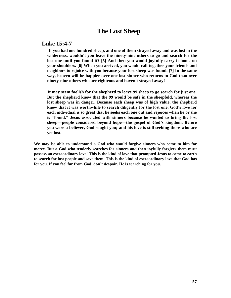## **The Lost Sheep**

### **Luke 15:4-7**

**"If you had one hundred sheep, and one of them strayed away and was lost in the wilderness, wouldn't you leave the ninety-nine others to go and search for the lost one until you found it? [5] And then you would joyfully carry it home on your shoulders. [6] When you arrived, you would call together your friends and neighbors to rejoice with you because your lost sheep was found. [7] In the same way, heaven will be happier over one lost sinner who returns to God than over ninety-nine others who are righteous and haven't strayed away!**

**It may seem foolish for the shepherd to leave 99 sheep to go search for just one. But the shepherd knew that the 99 would be safe in the sheepfold, whereas the lost sheep was in danger. Because each sheep was of high value, the shepherd knew that it was worthwhile to search diligently for the lost one. God's love for each individual is so great that he seeks each one out and rejoices when he or she is "found." Jesus associated with sinners because he wanted to bring the lost sheep—people considered beyond hope—the gospel of God's kingdom. Before you were a believer, God sought you; and his love is still seeking those who are yet lost.**

**We may be able to understand a God who would forgive sinners who come to him for mercy. But a God who tenderly searches for sinners and then joyfully forgives them must possess an extraordinary love! This is the kind of love that prompted Jesus to come to earth to search for lost people and save them. This is the kind of extraordinary love that God has for you. If you feel far from God, don't despair. He is searching for you.**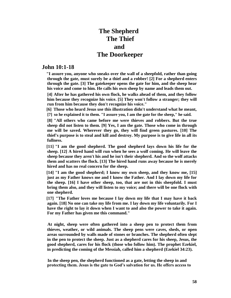# **The Shepherd The Thief and The Doorkeeper**

#### **John 10:1-18**

**"I assure you, anyone who sneaks over the wall of a sheepfold, rather than going through the gate, must surely be a thief and a robber! [2] For a shepherd enters through the gate. [3] The gatekeeper opens the gate for him, and the sheep hear his voice and come to him. He calls his own sheep by name and leads them out.**

**[4] After he has gathered his own flock, he walks ahead of them, and they follow him because they recognize his voice. [5] They won't follow a stranger; they will run from him because they don't recognize his voice."** 

**[6] Those who heard Jesus use this illustration didn't understand what he meant, [7] so he explained it to them. "I assure you, I am the gate for the sheep," he said.** 

**[8] "All others who came before me were thieves and robbers. But the true sheep did not listen to them. [9] Yes, I am the gate. Those who come in through me will be saved. Wherever they go, they will find green pastures. [10] The thief's purpose is to steal and kill and destroy. My purpose is to give life in all its fullness.** 

**[11] "I am the good shepherd. The good shepherd lays down his life for the sheep. [12] A hired hand will run when he sees a wolf coming. He will leave the sheep because they aren't his and he isn't their shepherd. And so the wolf attacks them and scatters the flock. [13] The hired hand runs away because he is merely hired and has no real concern for the sheep.** 

**[14] "I am the good shepherd; I know my own sheep, and they know me, [15] just as my Father knows me and I know the Father. And I lay down my life for the sheep. [16] I have other sheep, too, that are not in this sheepfold. I must bring them also, and they will listen to my voice; and there will be one flock with one shepherd.** 

**[17] "The Father loves me because I lay down my life that I may have it back again. [18] No one can take my life from me. I lay down my life voluntarily. For I have the right to lay it down when I want to and also the power to take it again. For my Father has given me this command."** 

**At night, sheep were often gathered into a sheep pen to protect them from thieves, weather, or wild animals. The sheep pens were caves, sheds, or open areas surrounded by walls made of stones or branches. The shepherd often slept in the pen to protect the sheep. Just as a shepherd cares for his sheep, Jesus, the good shepherd, cares for his flock (those who follow him). The prophet Ezekiel, in predicting the coming of the Messiah, called him a shepherd (Ezekiel 34:23).**

**In the sheep pen, the shepherd functioned as a gate, letting the sheep in and protecting them. Jesus is the gate to God's salvation for us. He offers access to**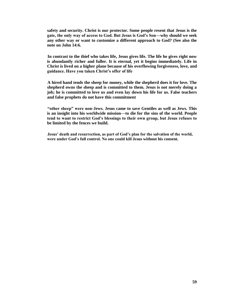**safety and security. Christ is our protector. Some people resent that Jesus is the gate, the only way of access to God. But Jesus is God's Son—why should we seek any other way or want to customize a different approach to God? (See also the note on John 14:6.**

**In contrast to the thief who takes life, Jesus gives life. The life he gives right now is abundantly richer and fuller. It is eternal, yet it begins immediately. Life in Christ is lived on a higher plane because of his overflowing forgiveness, love, and guidance. Have you taken Christ's offer of life**

**A hired hand tends the sheep for money, while the shepherd does it for love. The shepherd owns the sheep and is committed to them. Jesus is not merely doing a job; he is committed to love us and even lay down his life for us. False teachers and false prophets do not have this commitment**

**"other sheep" were non-Jews. Jesus came to save Gentiles as well as Jews. This is an insight into his worldwide mission—to die for the sins of the world. People tend to want to restrict God's blessings to their own group, but Jesus refuses to be limited by the fences we build.**

**Jesus' death and resurrection, as part of God's plan for the salvation of the world, were under God's full control. No one could kill Jesus without his consent.**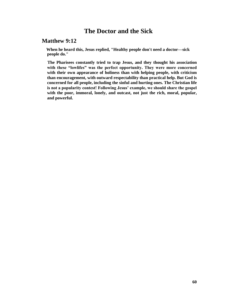## **The Doctor and the Sick**

### **Matthew 9:12**

**When he heard this, Jesus replied, "Healthy people don't need a doctor—sick people do."**

**The Pharisees constantly tried to trap Jesus, and they thought his association with these "lowlifes" was the perfect opportunity. They were more concerned with their own appearance of holiness than with helping people, with criticism than encouragement, with outward respectability than practical help. But God is concerned for all people, including the sinful and hurting ones. The Christian life is not a popularity contest! Following Jesus' example, we should share the gospel with the poor, immoral, lonely, and outcast, not just the rich, moral, popular, and powerful.**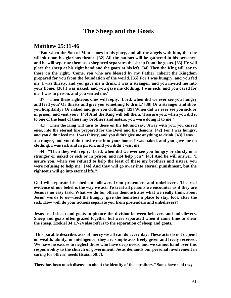### **The Sheep and the Goats**

### **Matthew 25:31-46**

**"But when the Son of Man comes in his glory, and all the angels with him, then he will sit upon his glorious throne. [32] All the nations will be gathered in his presence, and he will separate them as a shepherd separates the sheep from the goats. [33] He will place the sheep at his right hand and the goats at his left. [34] Then the King will say to those on the right, 'Come, you who are blessed by my Father, inherit the Kingdom prepared for you from the foundation of the world. [35] For I was hungry, and you fed me. I was thirsty, and you gave me a drink. I was a stranger, and you invited me into your home. [36] I was naked, and you gave me clothing. I was sick, and you cared for me. I was in prison, and you visited me.'**

**[37] "Then these righteous ones will reply, 'Lord, when did we ever see you hungry and feed you? Or thirsty and give you something to drink? [38] Or a stranger and show you hospitality? Or naked and give you clothing? [39] When did we ever see you sick or in prison, and visit you?' [40] And the King will tell them, 'I assure you, when you did it to one of the least of these my brothers and sisters, you were doing it to me!'**

**[41] "Then the King will turn to those on the left and say, 'Away with you, you cursed ones, into the eternal fire prepared for the Devil and his demons! [42] For I was hungry, and you didn't feed me. I was thirsty, and you didn't give me anything to drink. [43] I was** 

a **stranger, and you didn't invite me into your home. I was naked, and you gave me no clothing. I was sick and in prison, and you didn't visit me.'** 

**[44] "Then they will reply, 'Lord, when did we ever see you hungry or thirsty or a stranger or naked or sick or in prison, and not help you?' [45] And he will answer, 'I assure you, when you refused to help the least of these my brothers and sisters, you were refusing to help me.' [46] And they will go away into eternal punishment, but the righteous will go into eternal life."** 

**God will separate his obedient followers from pretenders and unbelievers. The real evidence of our belief is the way we act. To treat all persons we encounter as if they are Jesus is no easy task. What we do for others demonstrates what we really think about Jesus' words to us—feed the hungry, give the homeless a place to stay, look after the sick. How well do your actions separate you from pretenders and unbelievers?**

**Jesus used sheep and goats to picture the division between believers and unbelievers. Sheep and goats often grazed together but were separated when it came time to shear the sheep. Ezekiel 34:17-24 also refers to the separation of sheep and goats.**

**This parable describes acts of mercy we all can do every day. These acts do not depend on wealth, ability, or intelligence; they are simple acts freely given and freely received. We have no excuse to neglect those who have deep needs, and we cannot hand over this responsibility to the church or government. Jesus demands our personal involvement in caring for others' needs (Isaiah 58:7).**

**There has been much discussion about the identity of the "brothers." Some have said they**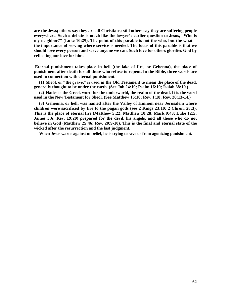**are the Jews; others say they are all Christians; still others say they are suffering people everywhere. Such a debate is much like the lawyer's earlier question to Jesus, "Who is my neighbor?" (Luke 10:29). The point of this parable is not the who, but the what the importance of serving where service is needed. The focus of this parable is that we should love every person and serve anyone we can. Such love for others glorifies God by reflecting our love for him.**

**Eternal punishment takes place in hell (the lake of fire, or Gehenna), the place of punishment after death for all those who refuse to repent. In the Bible, three words are used in connection with eternal punishment.**

**(1) Sheol, or "the grave," is used in the Old Testament to mean the place of the dead, generally thought to be under the earth. (See Job 24:19; Psalm 16:10; Isaiah 38:10.)** 

**(2) Hades is the Greek word for the underworld, the realm of the dead. It is the word used in the New Testament for Sheol. (See Matthew 16:18; Rev. 1:18; Rev. 20:13-14.)** 

**(3) Gehenna, or hell, was named after the Valley of Hinnom near Jerusalem where children were sacrificed by fire to the pagan gods (see 2 Kings 23:10; 2 Chron. 28:3). This is the place of eternal fire (Matthew 5:22; Matthew 10:28; Mark 9:43; Luke 12:5; James 3:6; Rev. 19:20) prepared for the devil, his angels, and all those who do not believe in God (Matthew 25:46; Rev. 20:9-10). This is the final and eternal state of the wicked after the resurrection and the last judgment.** 

**When Jesus warns against unbelief, he is trying to save us from agonizing punishment.**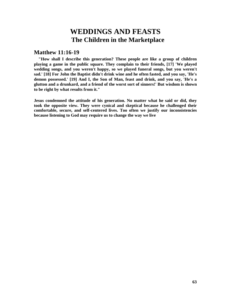# **WEDDINGS AND FEASTS The Children in the Marketplace**

### **Matthew 11:16-19**

**"How shall I describe this generation? These people are like a group of children playing a game in the public square. They complain to their friends, [17] 'We played wedding songs, and you weren't happy, so we played funeral songs, but you weren't sad.' [18] For John the Baptist didn't drink wine and he often fasted, and you say, 'He's demon possessed.' [19] And I, the Son of Man, feast and drink, and you say, 'He's a glutton and a drunkard, and a friend of the worst sort of sinners!' But wisdom is shown to be right by what results from it."**

**Jesus condemned the attitude of his generation. No matter what he said or did, they took the opposite view. They were cynical and skeptical because he challenged their comfortable, secure, and self-centered lives. Too often we justify our inconsistencies because listening to God may require us to change the way we live**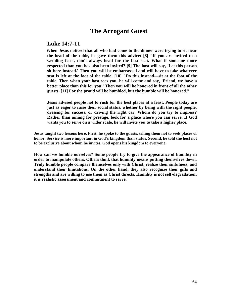## **The Arrogant Guest**

### **Luke 14:7-11**

**When Jesus noticed that all who had come to the dinner were trying to sit near the head of the table, he gave them this advice: [8] "If you are invited to a wedding feast, don't always head for the best seat. What if someone more respected than you has also been invited? [9] The host will say, 'Let this person sit here instead.' Then you will be embarrassed and will have to take whatever seat is left at the foot of the table! [10] "Do this instead—sit at the foot of the table. Then when your host sees you, he will come and say, 'Friend, we have a better place than this for you!' Then you will be honored in front of all the other guests. [11] For the proud will be humbled, but the humble will be honored."**

**Jesus advised people not to rush for the best places at a feast. People today are just as eager to raise their social status, whether by being with the right people, dressing for success, or driving the right car. Whom do you try to impress? Rather than aiming for prestige, look for a place where you can serve. If God wants you to serve on a wider scale, he will invite you to take a higher place.**

**Jesus taught two lessons here. First, he spoke to the guests, telling them not to seek places of honor. Service is more important in God's kingdom than status. Second, he told the host not to be exclusive about whom he invites. God opens his kingdom to everyone.**

**How can we humble ourselves? Some people try to give the appearance of humility in order to manipulate others. Others think that humility means putting themselves down. Truly humble people compare themselves only with Christ, realize their sinfulness, and understand their limitations. On the other hand, they also recognize their gifts and strengths and are willing to use them as Christ directs. Humility is not self-degradation; it is realistic assessment and commitment to serve.**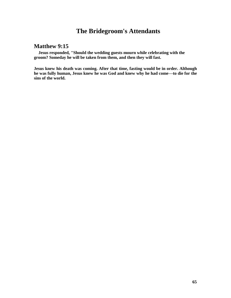# **The Bridegroom's Attendants**

### **Matthew 9:15**

**Jesus responded, "Should the wedding guests mourn while celebrating with the groom? Someday he will be taken from them, and then they will fast.**

**Jesus knew his death was coming. After that time, fasting would be in order. Although he was fully human, Jesus knew he was God and knew why he had come—to die for the sins of the world.**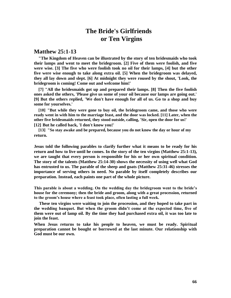# **The Bride's Girlfriends or Ten Virgins**

#### **Matthew 25:1-13**

**"The Kingdom of Heaven can be illustrated by the story of ten bridesmaids who took their lamps and went to meet the bridegroom. [2] Five of them were foolish, and five were wise. [3] The five who were foolish took no oil for their lamps, [4] but the other five were wise enough to take along extra oil. [5] When the bridegroom was delayed, they all lay down and slept. [6] At midnight they were roused by the shout, 'Look, the bridegroom is coming! Come out and welcome him!'**

**[7] "All the bridesmaids got up and prepared their lamps. [8] Then the five foolish ones asked the others, 'Please give us some of your oil because our lamps are going out.' [9] But the others replied, 'We don't have enough for all of us. Go to a shop and buy some for yourselves.'**

**[10] "But while they were gone to buy oil, the bridegroom came, and those who were ready went in with him to the marriage feast, and the door was locked. [11] Later, when the other five bridesmaids returned, they stood outside, calling, 'Sir, open the door for us!'** 

**[12] But he called back, 'I don't know you!'** 

**[13] "So stay awake and be prepared, because you do not know the day or hour of my return.** 

**Jesus told the following parables to clarify further what it means to be ready for his return and how to live until he comes. In the story of the ten virgins (Matthew 25:1-13), we are taught that every person is responsible for his or her own spiritual condition. The story of the talents (Matthew 25:14-30) shows the necessity of using well what God has entrusted to us. The parable of the sheep and goats (Matthew 25:31-46) stresses the importance of serving others in need. No parable by itself completely describes our preparation. Instead, each paints one part of the whole picture.**

**This parable is about a wedding. On the wedding day the bridegroom went to the bride's house for the ceremony; then the bride and groom, along with a great procession, returned to the groom's house where a feast took place, often lasting a full week.**

**These ten virgins were waiting to join the procession, and they hoped to take part in the wedding banquet. But when the groom didn't come at the expected time, five of them were out of lamp oil. By the time they had purchased extra oil, it was too late to join the feast.**

**When Jesus returns to take his people to heaven, we must be ready. Spiritual preparation cannot be bought or borrowed at the last minute. Our relationship with God must be our own.**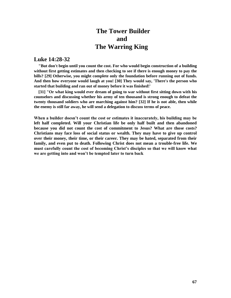# **The Tower Builder and The Warring King**

### **Luke 14:28-32**

**"But don't begin until you count the cost. For who would begin construction of a building without first getting estimates and then checking to see if there is enough money to pay the bills? [29] Otherwise, you might complete only the foundation before running out of funds. And then how everyone would laugh at you! [30] They would say, 'There's the person who started that building and ran out of money before it was finished!'**

**[31] "Or what king would ever dream of going to war without first sitting down with his counselors and discussing whether his army of ten thousand is strong enough to defeat the twenty thousand soldiers who are marching against him? [32] If he is not able, then while the enemy is still far away, he will send a delegation to discuss terms of peace.**

**When a builder doesn't count the cost or estimates it inaccurately, his building may be left half completed. Will your Christian life be only half built and then abandoned because you did not count the cost of commitment to Jesus? What are those costs? Christians may face loss of social status or wealth. They may have to give up control over their money, their time, or their career. They may be hated, separated from their family, and even put to death. Following Christ does not mean a trouble-free life. We must carefully count the cost of becoming Christ's disciples so that we will know what we are getting into and won't be tempted later to turn back**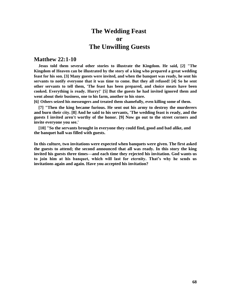# **The Wedding Feast or The Unwilling Guests**

### **Matthew 22:1-10**

**Jesus told them several other stories to illustrate the Kingdom. He said, [2] "The Kingdom of Heaven can be illustrated by the story of a king who prepared a great wedding feast for his son. [3] Many guests were invited, and when the banquet was ready, he sent his servants to notify everyone that it was time to come. But they all refused! [4] So he sent other servants to tell them, 'The feast has been prepared, and choice meats have been cooked. Everything is ready. Hurry!' [5] But the guests he had invited ignored them and went about their business, one to his farm, another to his store.**

**[6] Others seized his messengers and treated them shamefully, even killing some of them.** 

**[7] "Then the king became furious. He sent out his army to destroy the murderers and burn their city. [8] And he said to his servants, 'The wedding feast is ready, and the guests I invited aren't worthy of the honor. [9] Now go out to the street corners and invite everyone you see.'** 

**[10] "So the servants brought in everyone they could find, good and bad alike, and the banquet hall was filled with guests.**

**In this culture, two invitations were expected when banquets were given. The first asked the guests to attend; the second announced that all was ready. In this story the king invited his guests three times—and each time they rejected his invitation. God wants us to join him at his banquet, which will last for eternity. That's why he sends us invitations again and again. Have you accepted his invitation?**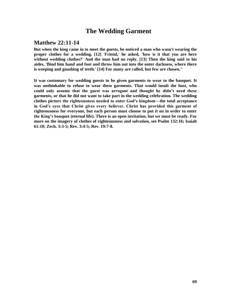## **The Wedding Garment**

### **Matthew 22:11-14**

**But when the king came in to meet the guests, he noticed a man who wasn't wearing the proper clothes for a wedding. [12] 'Friend,' he asked, 'how is it that you are here without wedding clothes?' And the man had no reply. [13] Then the king said to his aides, 'Bind him hand and foot and throw him out into the outer darkness, where there is weeping and gnashing of teeth.' [14] For many are called, but few are chosen."**

**It was customary for wedding guests to be given garments to wear to the banquet. It was unthinkable to refuse to wear these garments. That would insult the host, who could only assume that the guest was arrogant and thought he didn't need these garments, or that he did not want to take part in the wedding celebration. The wedding clothes picture the righteousness needed to enter God's kingdom—the total acceptance in God's eyes that Christ gives every believer. Christ has provided this garment of righteousness for everyone, but each person must choose to put it on in order to enter the King's banquet (eternal life). There is an open invitation, but we must be ready. For more on the imagery of clothes of righteousness and salvation, see Psalm 132:16; Isaiah 61:10; Zech. 3:3-5; Rev. 3:4-5; Rev. 19:7-8.**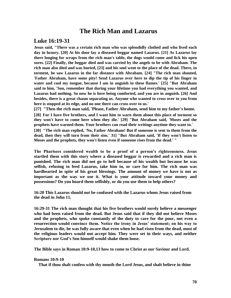## **The Rich Man and Lazarus**

### **Luke 16:19-31**

**Jesus said, "There was a certain rich man who was splendidly clothed and who lived each day in luxury. [20] At his door lay a diseased beggar named Lazarus. [21] As Lazarus lay there longing for scraps from the rich man's table, the dogs would come and lick his open sores. [22] Finally, the beggar died and was carried by the angels to be with Abraham. The rich man also died and was buried, [23] and his soul went to the place of the dead. There, in torment, he saw Lazarus in the far distance with Abraham. [24] "The rich man shouted, 'Father Abraham, have some pity! Send Lazarus over here to dip the tip of his finger in water and cool my tongue, because I am in anguish in these flames.' [25] "But Abraham said to him, 'Son, remember that during your lifetime you had everything you wanted, and Lazarus had nothing. So now he is here being comforted, and you are in anguish. [26] And besides, there is a great chasm separating us. Anyone who wanted to cross over to you from here is stopped at its edge, and no one there can cross over to us.'**

**[27] "Then the rich man said, 'Please, Father Abraham, send him to my father's home.** 

**[28] For I have five brothers, and I want him to warn them about this place of torment so they won't have to come here when they die.' [29] "But Abraham said, 'Moses and the prophets have warned them. Your brothers can read their writings anytime they want to.'**

**[30] "The rich man replied, 'No, Father Abraham! But if someone is sent to them from the dead, then they will turn from their sins.' 31] "But Abraham said, 'If they won't listen to Moses and the prophets, they won't listen even if someone rises from the dead.' "** 

**The Pharisees considered wealth to be a proof of a person's righteousness. Jesus startled them with this story where a diseased beggar is rewarded and a rich man is punished. The rich man did not go to hell because of his wealth but because he was selfish, refusing to feed Lazarus, take him in, or care for him. The rich man was hardhearted in spite of his great blessings. The amount of money we have is not as important as the way we use it. What is your attitude toward your money and possessions? Do you hoard them selfishly, or do you use them to help others?**

**16:20 This Lazarus should not be confused with the Lazarus whom Jesus raised from the dead in John 11.**

**16:29-31 The rich man thought that his five brothers would surely believe a messenger who had been raised from the dead. But Jesus said that if they did not believe Moses and the prophets, who spoke constantly of the duty to care for the poor, not even a resurrection would convince them. Notice the irony in Jesus' statement; on his way to Jerusalem to die, he was fully aware that even when he had risen from the dead, most of the religious leaders would not accept him. They were set in their ways, and neither Scripture nor God's Son himself would shake them loose.**

**The Bible says in Roman 10:9-10,13 how to come to Christ as our Saviour and Lord.**

#### **Romans 10:9-10**

**That if thou shalt confess with thy mouth the Lord Jesus, and shalt believe in thine**